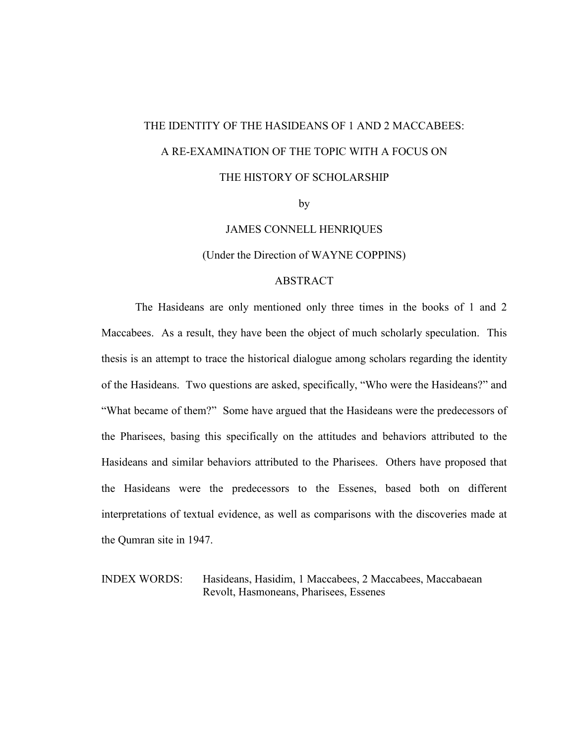# THE IDENTITY OF THE HASIDEANS OF 1 AND 2 MACCABEES: A RE-EXAMINATION OF THE TOPIC WITH A FOCUS ON THE HISTORY OF SCHOLARSHIP

by

JAMES CONNELL HENRIQUES

(Under the Direction of WAYNE COPPINS)

# **ABSTRACT**

 The Hasideans are only mentioned only three times in the books of 1 and 2 Maccabees. As a result, they have been the object of much scholarly speculation. This thesis is an attempt to trace the historical dialogue among scholars regarding the identity of the Hasideans. Two questions are asked, specifically, "Who were the Hasideans?" and "What became of them?" Some have argued that the Hasideans were the predecessors of the Pharisees, basing this specifically on the attitudes and behaviors attributed to the Hasideans and similar behaviors attributed to the Pharisees. Others have proposed that the Hasideans were the predecessors to the Essenes, based both on different interpretations of textual evidence, as well as comparisons with the discoveries made at the Qumran site in 1947.

INDEX WORDS: Hasideans, Hasidim, 1 Maccabees, 2 Maccabees, Maccabaean Revolt, Hasmoneans, Pharisees, Essenes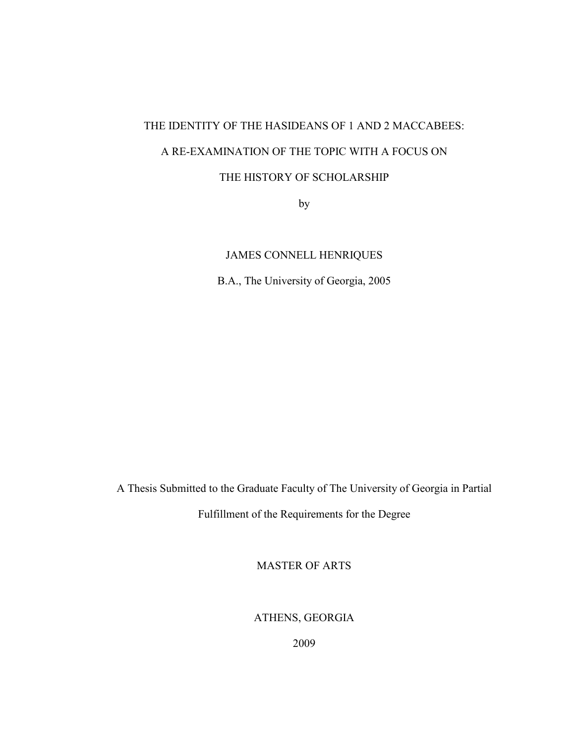# THE IDENTITY OF THE HASIDEANS OF 1 AND 2 MACCABEES: A RE-EXAMINATION OF THE TOPIC WITH A FOCUS ON THE HISTORY OF SCHOLARSHIP

by

JAMES CONNELL HENRIQUES

B.A., The University of Georgia, 2005

A Thesis Submitted to the Graduate Faculty of The University of Georgia in Partial

Fulfillment of the Requirements for the Degree

MASTER OF ARTS

ATHENS, GEORGIA

2009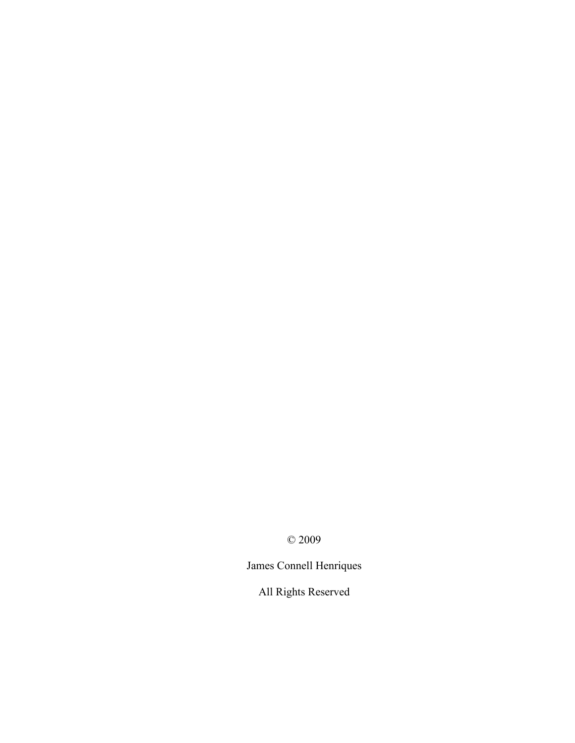© 2009

James Connell Henriques

All Rights Reserved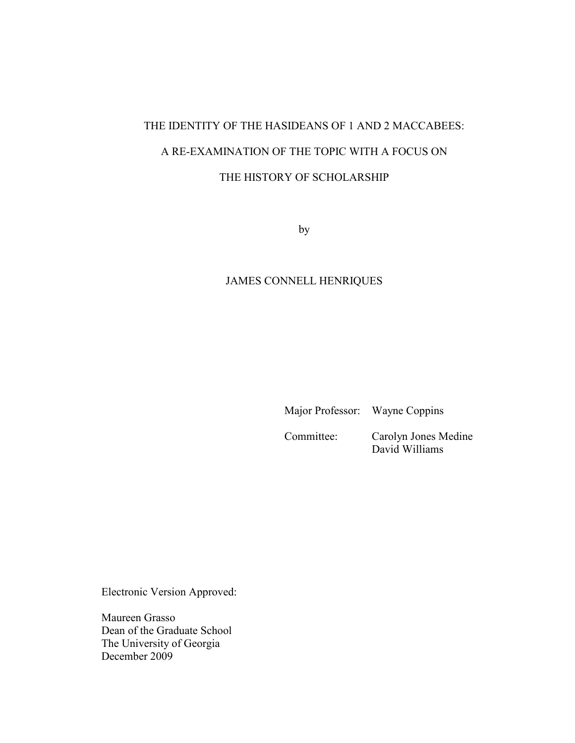# THE IDENTITY OF THE HASIDEANS OF 1 AND 2 MACCABEES: A RE-EXAMINATION OF THE TOPIC WITH A FOCUS ON THE HISTORY OF SCHOLARSHIP

by

# JAMES CONNELL HENRIQUES

Major Professor: Wayne Coppins

 Committee: Carolyn Jones Medine David Williams

Electronic Version Approved:

Maureen Grasso Dean of the Graduate School The University of Georgia December 2009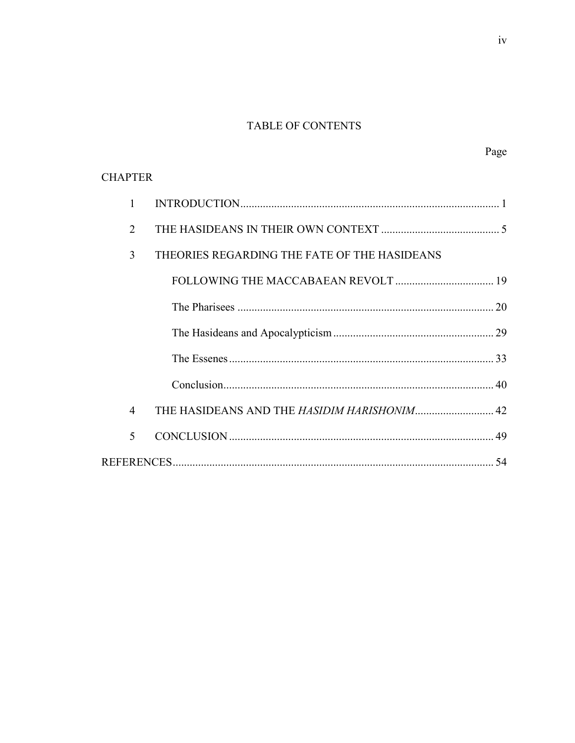# TABLE OF CONTENTS

| <b>CHAPTER</b> |                                              |  |
|----------------|----------------------------------------------|--|
| 1              |                                              |  |
| 2              |                                              |  |
| 3              | THEORIES REGARDING THE FATE OF THE HASIDEANS |  |
|                |                                              |  |
|                |                                              |  |
|                |                                              |  |
|                |                                              |  |
|                |                                              |  |
| 4              |                                              |  |
| 5              |                                              |  |
|                |                                              |  |

Page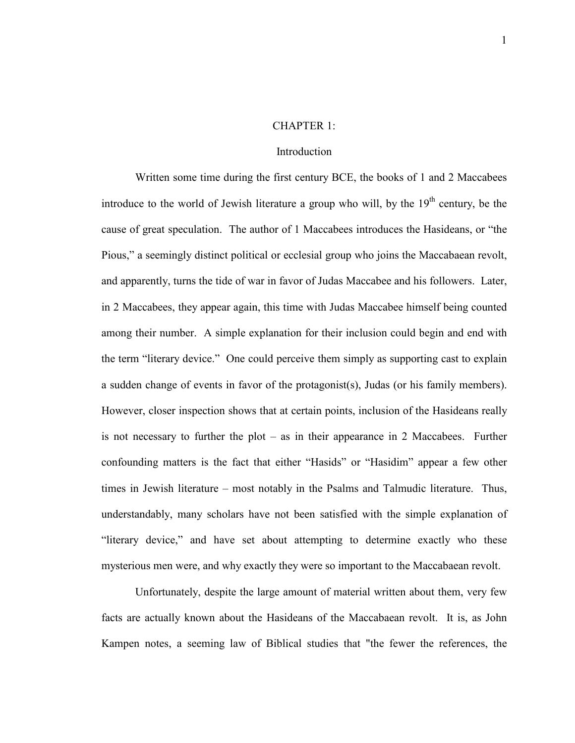#### CHAPTER 1:

#### **Introduction**

 Written some time during the first century BCE, the books of 1 and 2 Maccabees introduce to the world of Jewish literature a group who will, by the  $19<sup>th</sup>$  century, be the cause of great speculation. The author of 1 Maccabees introduces the Hasideans, or "the Pious," a seemingly distinct political or ecclesial group who joins the Maccabaean revolt, and apparently, turns the tide of war in favor of Judas Maccabee and his followers. Later, in 2 Maccabees, they appear again, this time with Judas Maccabee himself being counted among their number. A simple explanation for their inclusion could begin and end with the term "literary device." One could perceive them simply as supporting cast to explain a sudden change of events in favor of the protagonist(s), Judas (or his family members). However, closer inspection shows that at certain points, inclusion of the Hasideans really is not necessary to further the plot  $-$  as in their appearance in 2 Maccabees. Further confounding matters is the fact that either "Hasids" or "Hasidim" appear a few other times in Jewish literature – most notably in the Psalms and Talmudic literature. Thus, understandably, many scholars have not been satisfied with the simple explanation of "literary device," and have set about attempting to determine exactly who these mysterious men were, and why exactly they were so important to the Maccabaean revolt.

Unfortunately, despite the large amount of material written about them, very few facts are actually known about the Hasideans of the Maccabaean revolt. It is, as John Kampen notes, a seeming law of Biblical studies that "the fewer the references, the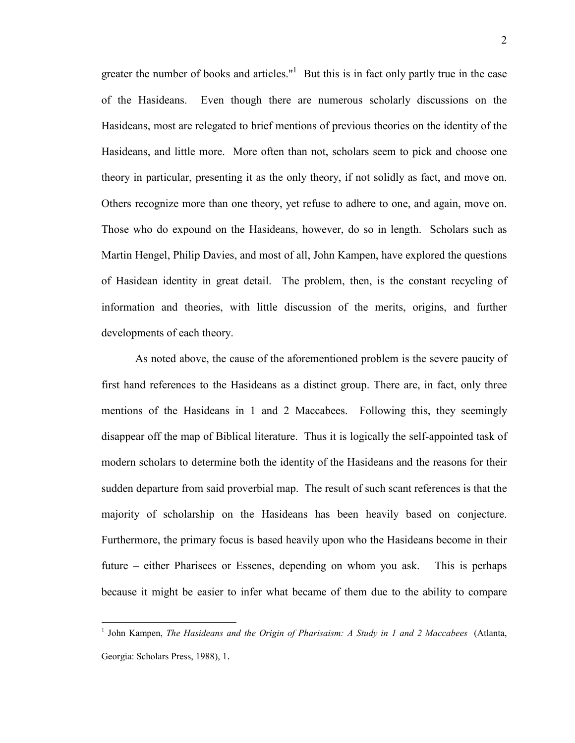greater the number of books and articles." $1$  But this is in fact only partly true in the case of the Hasideans. Even though there are numerous scholarly discussions on the Hasideans, most are relegated to brief mentions of previous theories on the identity of the Hasideans, and little more. More often than not, scholars seem to pick and choose one theory in particular, presenting it as the only theory, if not solidly as fact, and move on. Others recognize more than one theory, yet refuse to adhere to one, and again, move on. Those who do expound on the Hasideans, however, do so in length. Scholars such as Martin Hengel, Philip Davies, and most of all, John Kampen, have explored the questions of Hasidean identity in great detail. The problem, then, is the constant recycling of information and theories, with little discussion of the merits, origins, and further developments of each theory.

As noted above, the cause of the aforementioned problem is the severe paucity of first hand references to the Hasideans as a distinct group. There are, in fact, only three mentions of the Hasideans in 1 and 2 Maccabees. Following this, they seemingly disappear off the map of Biblical literature. Thus it is logically the self-appointed task of modern scholars to determine both the identity of the Hasideans and the reasons for their sudden departure from said proverbial map. The result of such scant references is that the majority of scholarship on the Hasideans has been heavily based on conjecture. Furthermore, the primary focus is based heavily upon who the Hasideans become in their future – either Pharisees or Essenes, depending on whom you ask. This is perhaps because it might be easier to infer what became of them due to the ability to compare

 1 John Kampen, *The Hasideans and the Origin of Pharisaism: A Study in 1 and 2 Maccabees* (Atlanta, Georgia: Scholars Press, 1988), 1.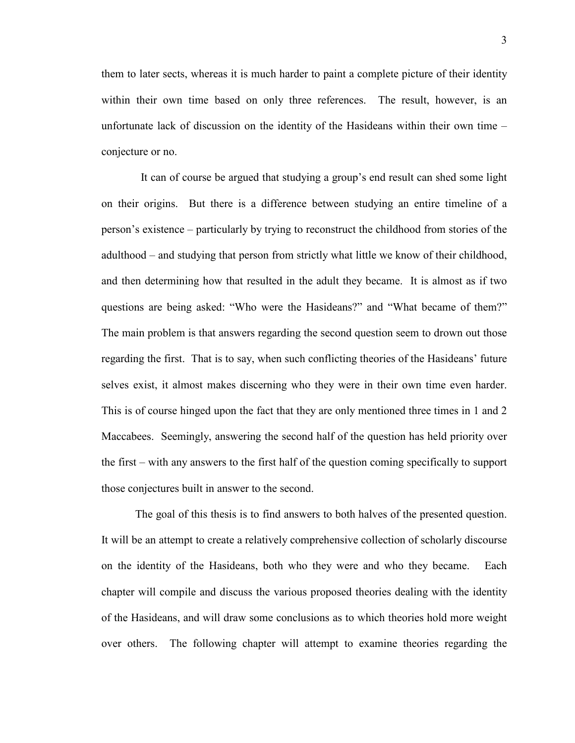them to later sects, whereas it is much harder to paint a complete picture of their identity within their own time based on only three references. The result, however, is an unfortunate lack of discussion on the identity of the Hasideans within their own time – conjecture or no.

 It can of course be argued that studying a group's end result can shed some light on their origins. But there is a difference between studying an entire timeline of a person's existence – particularly by trying to reconstruct the childhood from stories of the adulthood – and studying that person from strictly what little we know of their childhood, and then determining how that resulted in the adult they became. It is almost as if two questions are being asked: "Who were the Hasideans?" and "What became of them?" The main problem is that answers regarding the second question seem to drown out those regarding the first. That is to say, when such conflicting theories of the Hasideans' future selves exist, it almost makes discerning who they were in their own time even harder. This is of course hinged upon the fact that they are only mentioned three times in 1 and 2 Maccabees. Seemingly, answering the second half of the question has held priority over the first – with any answers to the first half of the question coming specifically to support those conjectures built in answer to the second.

The goal of this thesis is to find answers to both halves of the presented question. It will be an attempt to create a relatively comprehensive collection of scholarly discourse on the identity of the Hasideans, both who they were and who they became. Each chapter will compile and discuss the various proposed theories dealing with the identity of the Hasideans, and will draw some conclusions as to which theories hold more weight over others. The following chapter will attempt to examine theories regarding the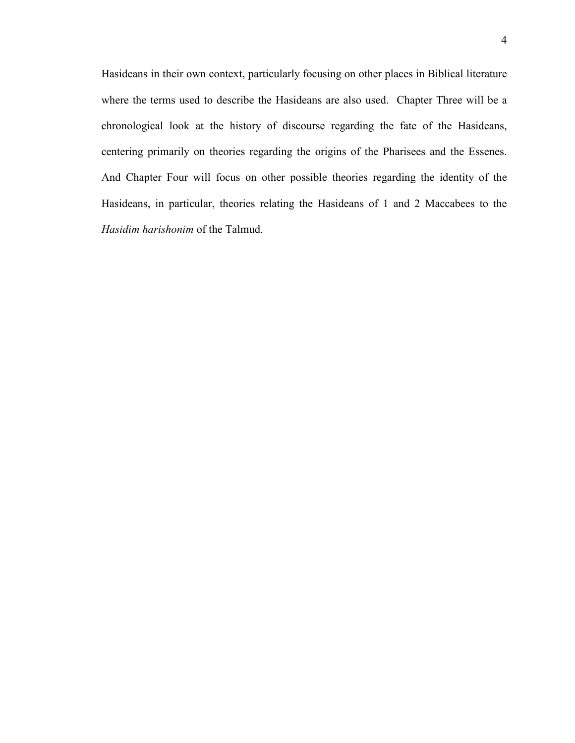Hasideans in their own context, particularly focusing on other places in Biblical literature where the terms used to describe the Hasideans are also used. Chapter Three will be a chronological look at the history of discourse regarding the fate of the Hasideans, centering primarily on theories regarding the origins of the Pharisees and the Essenes. And Chapter Four will focus on other possible theories regarding the identity of the Hasideans, in particular, theories relating the Hasideans of 1 and 2 Maccabees to the *Hasidim harishonim* of the Talmud.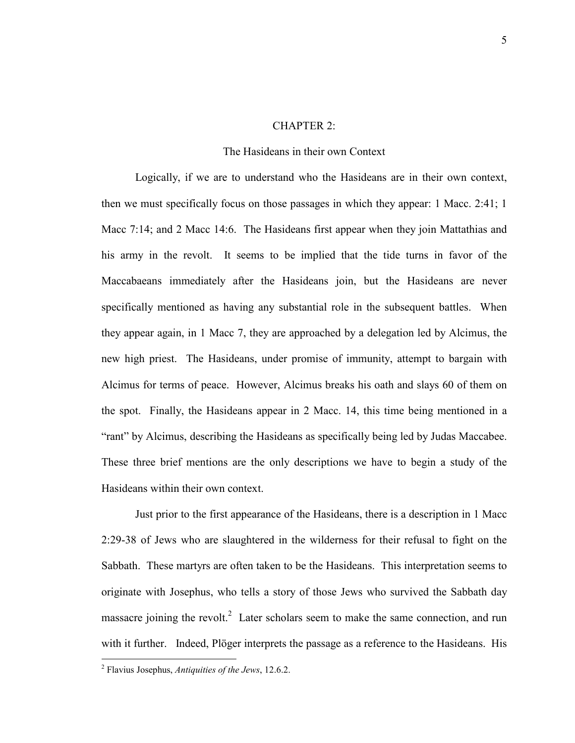### CHAPTER 2:

#### The Hasideans in their own Context

Logically, if we are to understand who the Hasideans are in their own context, then we must specifically focus on those passages in which they appear: 1 Macc. 2:41; 1 Macc 7:14; and 2 Macc 14:6. The Hasideans first appear when they join Mattathias and his army in the revolt. It seems to be implied that the tide turns in favor of the Maccabaeans immediately after the Hasideans join, but the Hasideans are never specifically mentioned as having any substantial role in the subsequent battles. When they appear again, in 1 Macc 7, they are approached by a delegation led by Alcimus, the new high priest. The Hasideans, under promise of immunity, attempt to bargain with Alcimus for terms of peace. However, Alcimus breaks his oath and slays 60 of them on the spot. Finally, the Hasideans appear in 2 Macc. 14, this time being mentioned in a "rant" by Alcimus, describing the Hasideans as specifically being led by Judas Maccabee. These three brief mentions are the only descriptions we have to begin a study of the Hasideans within their own context.

Just prior to the first appearance of the Hasideans, there is a description in 1 Macc 2:29-38 of Jews who are slaughtered in the wilderness for their refusal to fight on the Sabbath. These martyrs are often taken to be the Hasideans. This interpretation seems to originate with Josephus, who tells a story of those Jews who survived the Sabbath day massacre joining the revolt.<sup>2</sup> Later scholars seem to make the same connection, and run with it further. Indeed, Plöger interprets the passage as a reference to the Hasideans. His

<sup>2</sup> Flavius Josephus, *Antiquities of the Jews*, 12.6.2.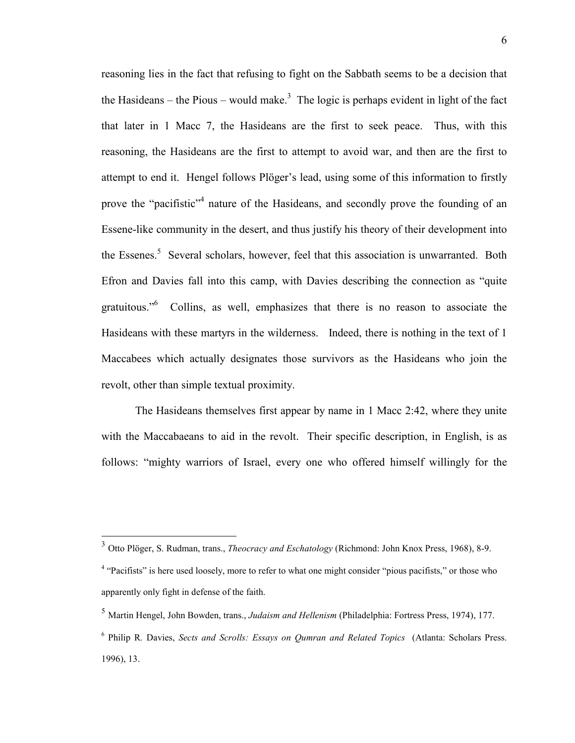reasoning lies in the fact that refusing to fight on the Sabbath seems to be a decision that the Hasideans – the Pious – would make.<sup>3</sup> The logic is perhaps evident in light of the fact that later in 1 Macc 7, the Hasideans are the first to seek peace. Thus, with this reasoning, the Hasideans are the first to attempt to avoid war, and then are the first to attempt to end it. Hengel follows Plöger's lead, using some of this information to firstly prove the "pacifistic"<sup>4</sup> nature of the Hasideans, and secondly prove the founding of an Essene-like community in the desert, and thus justify his theory of their development into the Essenes.<sup>5</sup> Several scholars, however, feel that this association is unwarranted. Both Efron and Davies fall into this camp, with Davies describing the connection as "quite gratuitous."<sup>6</sup> Collins, as well, emphasizes that there is no reason to associate the Hasideans with these martyrs in the wilderness. Indeed, there is nothing in the text of 1 Maccabees which actually designates those survivors as the Hasideans who join the revolt, other than simple textual proximity.

The Hasideans themselves first appear by name in 1 Macc 2:42, where they unite with the Maccabaeans to aid in the revolt. Their specific description, in English, is as follows: "mighty warriors of Israel, every one who offered himself willingly for the

<sup>3</sup> Otto Plöger, S. Rudman, trans., *Theocracy and Eschatology* (Richmond: John Knox Press, 1968), 8-9.

<sup>&</sup>lt;sup>4</sup> "Pacifists" is here used loosely, more to refer to what one might consider "pious pacifists," or those who apparently only fight in defense of the faith.

<sup>5</sup> Martin Hengel, John Bowden, trans., *Judaism and Hellenism* (Philadelphia: Fortress Press, 1974), 177.

<sup>6</sup> Philip R*.* Davies, *Sects and Scrolls: Essays on Qumran and Related Topics* (Atlanta: Scholars Press. 1996), 13.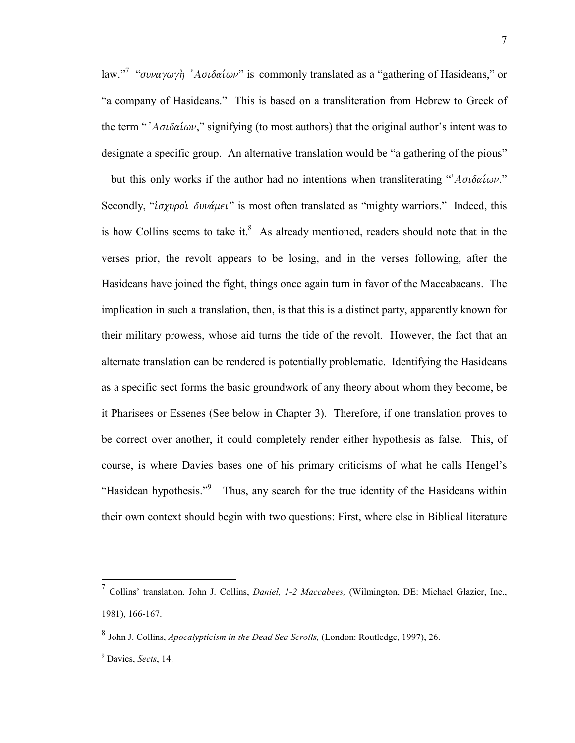law."<sup>7</sup> "συναγωγὴ 'Ασιδαίων" is commonly translated as a "gathering of Hasideans," or "a company of Hasideans." This is based on a transliteration from Hebrew to Greek of the term "' $A\sigma\iota\delta\alpha\iota\omega\nu$ ," signifying (to most authors) that the original author's intent was to designate a specific group. An alternative translation would be "a gathering of the pious" – but this only works if the author had no intentions when transliterating " $A\sigma\delta\alpha i\omega v$ ." Secondly, " $i\sigma\chi\nu\rho o\psi$   $\delta\nu\nu\alpha\mu\epsilon\iota$ " is most often translated as "mighty warriors." Indeed, this is how Collins seems to take it. $8$  As already mentioned, readers should note that in the verses prior, the revolt appears to be losing, and in the verses following, after the Hasideans have joined the fight, things once again turn in favor of the Maccabaeans. The implication in such a translation, then, is that this is a distinct party, apparently known for their military prowess, whose aid turns the tide of the revolt. However, the fact that an alternate translation can be rendered is potentially problematic. Identifying the Hasideans as a specific sect forms the basic groundwork of any theory about whom they become, be it Pharisees or Essenes (See below in Chapter 3). Therefore, if one translation proves to be correct over another, it could completely render either hypothesis as false. This, of course, is where Davies bases one of his primary criticisms of what he calls Hengel's "Hasidean hypothesis."<sup>9</sup> Thus, any search for the true identity of the Hasideans within their own context should begin with two questions: First, where else in Biblical literature

 7 Collins' translation. John J. Collins, *Daniel, 1-2 Maccabees,* (Wilmington, DE: Michael Glazier, Inc., 1981), 166-167.

<sup>8</sup> John J. Collins, *Apocalypticism in the Dead Sea Scrolls,* (London: Routledge, 1997), 26.

<sup>9</sup> Davies, *Sects*, 14.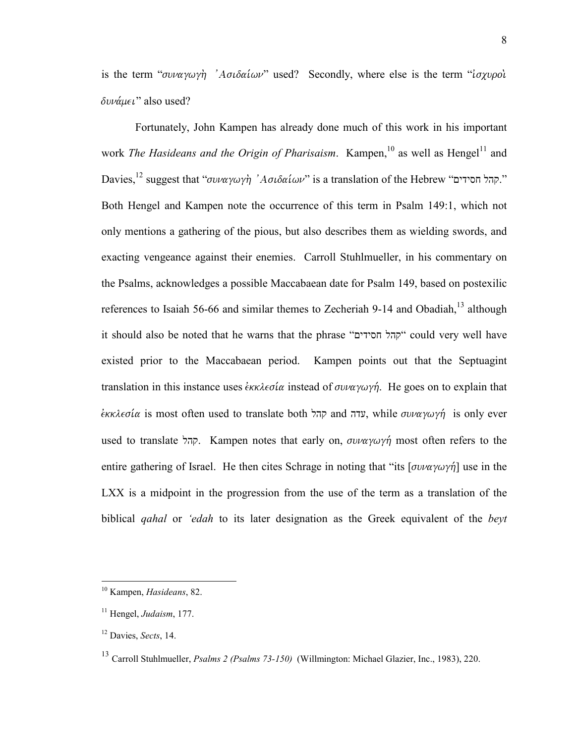is the term " $\sigma \nu \alpha \gamma \omega \gamma \dot{\eta}$  'A $\sigma \iota \delta \alpha \iota \omega \nu$ " used? Secondly, where else is the term " $\iota \sigma \chi \nu \rho \dot{\sigma} \iota$  $\delta v \nu \alpha \mu \epsilon \nu$ " also used?

 Fortunately, John Kampen has already done much of this work in his important work *The Hasideans and the Origin of Pharisaism*. Kampen,<sup>10</sup> as well as Hengel<sup>11</sup> and Davies,<sup>12</sup> suggest that "*סעומעץ <sup>א</sup>ח*" *Aσιδαίων*" is a translation of the Hebrew ".קהל חסידים" Both Hengel and Kampen note the occurrence of this term in Psalm 149:1, which not only mentions a gathering of the pious, but also describes them as wielding swords, and exacting vengeance against their enemies. Carroll Stuhlmueller, in his commentary on the Psalms, acknowledges a possible Maccabaean date for Psalm 149, based on postexilic references to Isaiah 56-66 and similar themes to Zecheriah 9-14 and Obadiah, $^{13}$  although it should also be noted that he warns that the phrase "חסידים קהל "could very well have existed prior to the Maccabaean period. Kampen points out that the Septuagint translation in this instance uses  $\epsilon_{KK} \lambda \epsilon \sigma \alpha$  instead of  $\sigma \nu \alpha \gamma \omega \gamma \eta$ . He goes on to explain that  $\epsilon_{KK}$ eoία is most often used to translate both קהל and עדה, while  $\sigma \nu \alpha \gamma \omega \gamma \gamma$  is only ever used to translate קהל. Kampen notes that early on,  $\sigma \nu \alpha \gamma \omega \gamma \gamma$  most often refers to the entire gathering of Israel. He then cites Schrage in noting that "its  $\left[\sigma \nu \alpha \gamma \omega \gamma \eta \right]$  use in the LXX is a midpoint in the progression from the use of the term as a translation of the biblical *qahal* or *'edah* to its later designation as the Greek equivalent of the *beyt* 

<sup>10</sup> Kampen, *Hasideans*, 82.

<sup>11</sup> Hengel, *Judaism*, 177.

<sup>12</sup> Davies, *Sects*, 14.

<sup>13</sup> Carroll Stuhlmueller, *Psalms 2 (Psalms 73-150)* (Willmington: Michael Glazier, Inc., 1983), 220.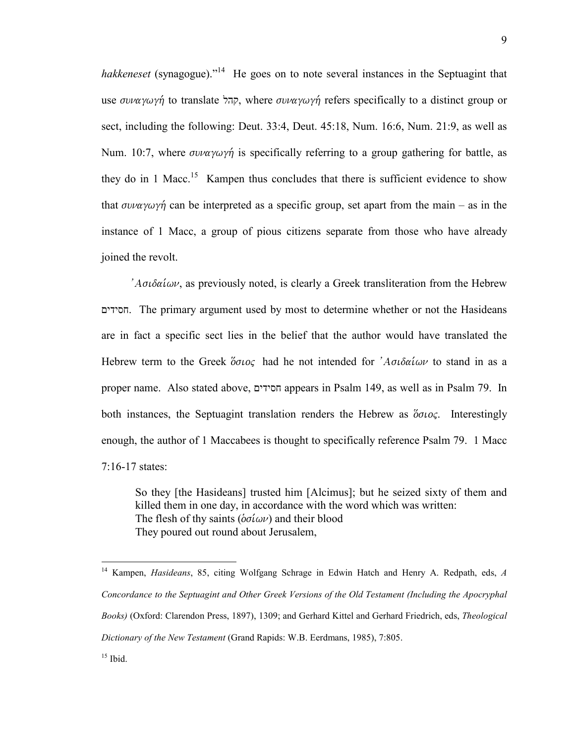*hakkeneset* (synagogue)."<sup>14</sup> He goes on to note several instances in the Septuagint that use *συναγωγή* to translate קהל, where *συναγωγή* refers specifically to a distinct group or sect, including the following: Deut. 33:4, Deut. 45:18, Num. 16:6, Num. 21:9, as well as Num. 10:7, where  $\sigma \nu \alpha \gamma \omega \gamma \gamma$  is specifically referring to a group gathering for battle, as they do in 1 Macc.<sup>15</sup> Kampen thus concludes that there is sufficient evidence to show that  $\sigma \nu \alpha \gamma \omega \gamma \gamma$  can be interpreted as a specific group, set apart from the main – as in the instance of 1 Macc, a group of pious citizens separate from those who have already joined the revolt.

' $A\sigma\delta\alpha\delta\omega\nu$ , as previously noted, is clearly a Greek transliteration from the Hebrew חסידים. The primary argument used by most to determine whether or not the Hasideans are in fact a specific sect lies in the belief that the author would have translated the Hebrew term to the Greek  $\delta \sigma \nu$  had he not intended for  $\Delta \sigma \nu$  to stand in as a proper name. Also stated above, חסידים appears in Psalm 149, as well as in Psalm 79. In both instances, the Septuagint translation renders the Hebrew as  $\delta \sigma \omega$ . Interestingly enough, the author of 1 Maccabees is thought to specifically reference Psalm 79. 1 Macc 7:16-17 states:

So they [the Hasideans] trusted him [Alcimus]; but he seized sixty of them and killed them in one day, in accordance with the word which was written: The flesh of thy saints ( $\delta \sigma \hat{\iota} \omega \nu$ ) and their blood They poured out round about Jerusalem,

<sup>14</sup> Kampen, *Hasideans*, 85, citing Wolfgang Schrage in Edwin Hatch and Henry A. Redpath, eds, *A Concordance to the Septuagint and Other Greek Versions of the Old Testament (Including the Apocryphal Books)* (Oxford: Clarendon Press, 1897), 1309; and Gerhard Kittel and Gerhard Friedrich, eds, *Theological Dictionary of the New Testament* (Grand Rapids: W.B. Eerdmans, 1985), 7:805.  $15$  Ibid.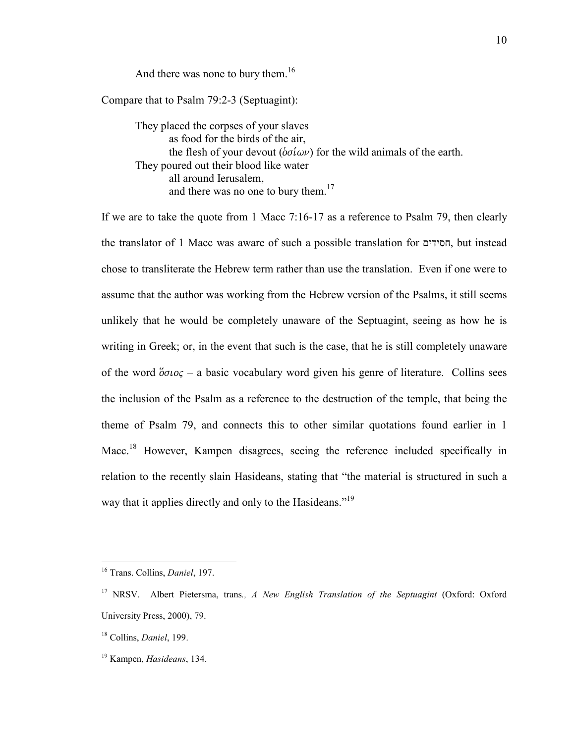And there was none to bury them. $16$ 

Compare that to Psalm 79:2-3 (Septuagint):

They placed the corpses of your slaves as food for the birds of the air, the flesh of your devout ( $\delta \sigma \hat{i} \omega \nu$ ) for the wild animals of the earth. They poured out their blood like water all around Ierusalem, and there was no one to bury them.<sup>17</sup>

If we are to take the quote from 1 Macc 7:16-17 as a reference to Psalm 79, then clearly the translator of 1 Macc was aware of such a possible translation for חסידים, but instead chose to transliterate the Hebrew term rather than use the translation. Even if one were to assume that the author was working from the Hebrew version of the Psalms, it still seems unlikely that he would be completely unaware of the Septuagint, seeing as how he is writing in Greek; or, in the event that such is the case, that he is still completely unaware of the word  $\delta \sigma \iota$  – a basic vocabulary word given his genre of literature. Collins sees the inclusion of the Psalm as a reference to the destruction of the temple, that being the theme of Psalm 79, and connects this to other similar quotations found earlier in 1 Macc.<sup>18</sup> However, Kampen disagrees, seeing the reference included specifically in relation to the recently slain Hasideans, stating that "the material is structured in such a way that it applies directly and only to the Hasideans."<sup>19</sup>

<sup>16</sup> Trans. Collins, *Daniel*, 197.

<sup>17</sup> NRSV. Albert Pietersma, trans*., A New English Translation of the Septuagint* (Oxford: Oxford University Press, 2000), 79.

<sup>18</sup> Collins, *Daniel*, 199.

<sup>19</sup> Kampen, *Hasideans*, 134.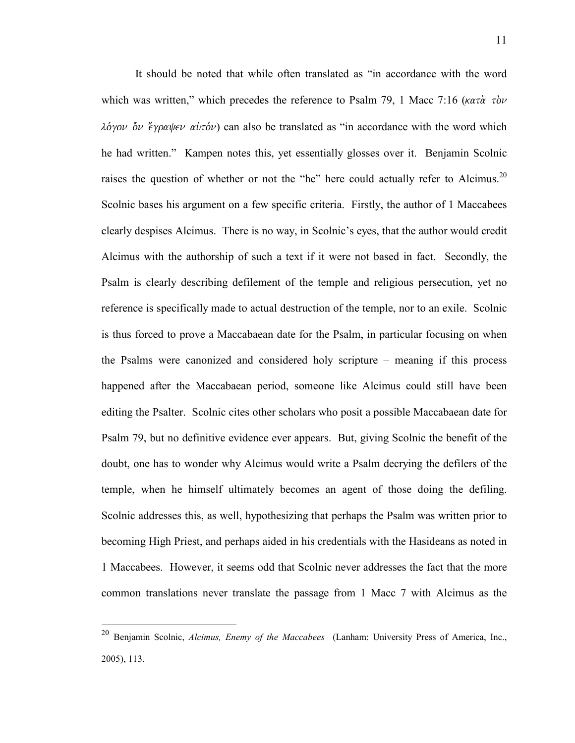It should be noted that while often translated as "in accordance with the word which was written," which precedes the reference to Psalm 79, 1 Macc 7:16 ( $\kappa \alpha \tau \dot{\alpha}$   $\tau \dot{\alpha} \nu$  $\lambda \acute{o}y \circ \acute{o}v$   $\acute{e}y \circ \alpha \psi \in V$  auxtors  $\alpha$  at also be translated as "in accordance with the word which he had written." Kampen notes this, yet essentially glosses over it. Benjamin Scolnic raises the question of whether or not the "he" here could actually refer to Alcimus.<sup>20</sup> Scolnic bases his argument on a few specific criteria. Firstly, the author of 1 Maccabees clearly despises Alcimus. There is no way, in Scolnic's eyes, that the author would credit Alcimus with the authorship of such a text if it were not based in fact. Secondly, the Psalm is clearly describing defilement of the temple and religious persecution, yet no reference is specifically made to actual destruction of the temple, nor to an exile. Scolnic is thus forced to prove a Maccabaean date for the Psalm, in particular focusing on when the Psalms were canonized and considered holy scripture – meaning if this process happened after the Maccabaean period, someone like Alcimus could still have been editing the Psalter. Scolnic cites other scholars who posit a possible Maccabaean date for Psalm 79, but no definitive evidence ever appears. But, giving Scolnic the benefit of the doubt, one has to wonder why Alcimus would write a Psalm decrying the defilers of the temple, when he himself ultimately becomes an agent of those doing the defiling. Scolnic addresses this, as well, hypothesizing that perhaps the Psalm was written prior to becoming High Priest, and perhaps aided in his credentials with the Hasideans as noted in 1 Maccabees. However, it seems odd that Scolnic never addresses the fact that the more common translations never translate the passage from 1 Macc 7 with Alcimus as the

<sup>20</sup> Benjamin Scolnic, *Alcimus, Enemy of the Maccabees* (Lanham: University Press of America, Inc., 2005), 113.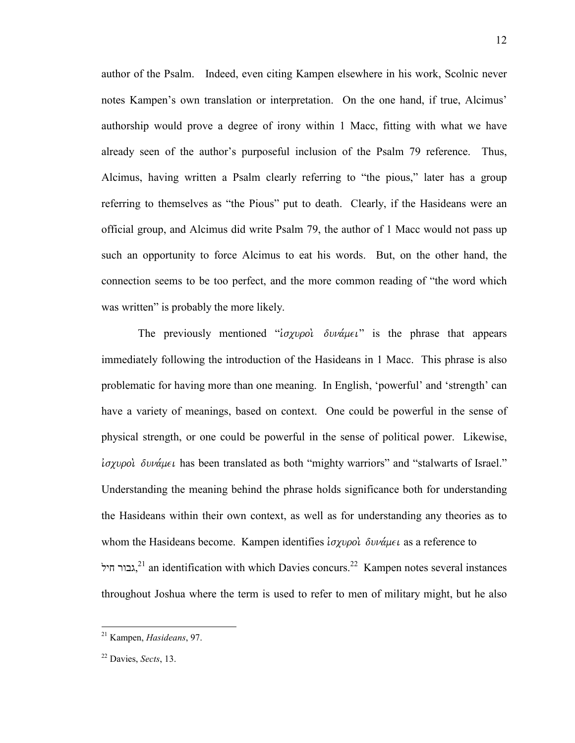author of the Psalm. Indeed, even citing Kampen elsewhere in his work, Scolnic never notes Kampen's own translation or interpretation. On the one hand, if true, Alcimus' authorship would prove a degree of irony within 1 Macc, fitting with what we have already seen of the author's purposeful inclusion of the Psalm 79 reference. Thus, Alcimus, having written a Psalm clearly referring to "the pious," later has a group referring to themselves as "the Pious" put to death. Clearly, if the Hasideans were an official group, and Alcimus did write Psalm 79, the author of 1 Macc would not pass up such an opportunity to force Alcimus to eat his words. But, on the other hand, the connection seems to be too perfect, and the more common reading of "the word which was written" is probably the more likely.

The previously mentioned " $i\sigma\chi\nu\rho o\omega$   $\delta\nu\nu\alpha\mu\epsilon\nu$ " is the phrase that appears immediately following the introduction of the Hasideans in 1 Macc. This phrase is also problematic for having more than one meaning. In English, 'powerful' and 'strength' can have a variety of meanings, based on context. One could be powerful in the sense of physical strength, or one could be powerful in the sense of political power. Likewise,  $i\sigma\chi\nu\rho\sigma\omega$   $\delta\nu\nu\alpha\mu\epsilon\iota$  has been translated as both "mighty warriors" and "stalwarts of Israel." Understanding the meaning behind the phrase holds significance both for understanding the Hasideans within their own context, as well as for understanding any theories as to whom the Hasideans become. Kampen identifies  $i_{\sigma\chi\nu\rho\rho\sigma}$   $\delta\nu\nu\alpha\mu\epsilon\iota$  as a reference to גבור חיל,<sup>21</sup> an identification with which Davies concurs.<sup>22</sup> Kampen notes several instances throughout Joshua where the term is used to refer to men of military might, but he also

<sup>21</sup> Kampen, *Hasideans*, 97.

<sup>22</sup> Davies, *Sects*, 13.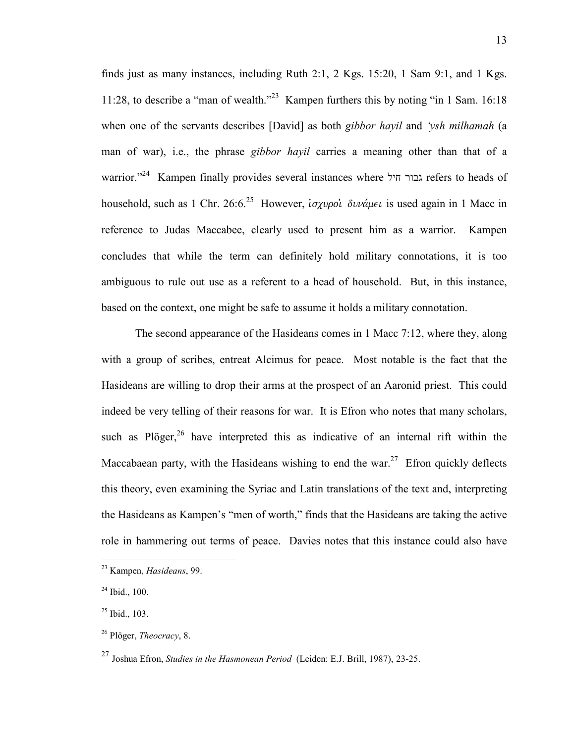finds just as many instances, including Ruth 2:1, 2 Kgs. 15:20, 1 Sam 9:1, and 1 Kgs. 11:28, to describe a "man of wealth."<sup>23</sup> Kampen furthers this by noting "in 1 Sam. 16:18 when one of the servants describes [David] as both *gibbor hayil* and *'ysh milhamah* (a man of war), i.e., the phrase *gibbor hayil* carries a meaning other than that of a warrior."<sup>24</sup> Kampen finally provides several instances where חיל גבור refers to heads of household, such as 1 Chr. 26:6.<sup>25</sup> However, *i oxupol*  $\delta v \nu \alpha \mu \epsilon \nu$  *is used again in 1 Macc in* reference to Judas Maccabee, clearly used to present him as a warrior. Kampen concludes that while the term can definitely hold military connotations, it is too ambiguous to rule out use as a referent to a head of household. But, in this instance, based on the context, one might be safe to assume it holds a military connotation.

The second appearance of the Hasideans comes in 1 Macc 7:12, where they, along with a group of scribes, entreat Alcimus for peace. Most notable is the fact that the Hasideans are willing to drop their arms at the prospect of an Aaronid priest. This could indeed be very telling of their reasons for war. It is Efron who notes that many scholars, such as Plöger,  $26$  have interpreted this as indicative of an internal rift within the Maccabaean party, with the Hasideans wishing to end the war.<sup>27</sup> Efron quickly deflects this theory, even examining the Syriac and Latin translations of the text and, interpreting the Hasideans as Kampen's "men of worth," finds that the Hasideans are taking the active role in hammering out terms of peace. Davies notes that this instance could also have

<sup>23</sup> Kampen, *Hasideans*, 99.

 $24$  Ibid., 100.

 $25$  Ibid., 103.

<sup>26</sup> Plöger, *Theocracy*, 8.

<sup>27</sup> Joshua Efron, *Studies in the Hasmonean Period* (Leiden: E.J. Brill, 1987), 23-25.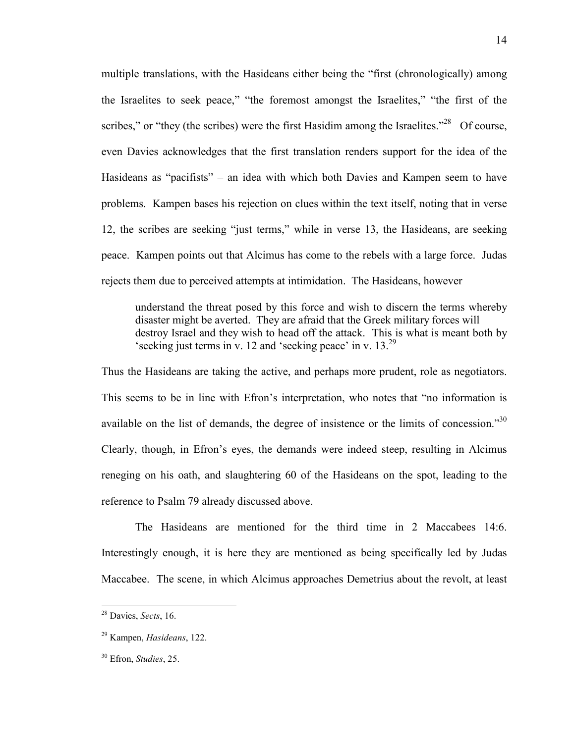multiple translations, with the Hasideans either being the "first (chronologically) among the Israelites to seek peace," "the foremost amongst the Israelites," "the first of the scribes," or "they (the scribes) were the first Hasidim among the Israelites."<sup>28</sup> Of course, even Davies acknowledges that the first translation renders support for the idea of the Hasideans as "pacifists" – an idea with which both Davies and Kampen seem to have problems. Kampen bases his rejection on clues within the text itself, noting that in verse 12, the scribes are seeking "just terms," while in verse 13, the Hasideans, are seeking peace. Kampen points out that Alcimus has come to the rebels with a large force. Judas rejects them due to perceived attempts at intimidation. The Hasideans, however

understand the threat posed by this force and wish to discern the terms whereby disaster might be averted. They are afraid that the Greek military forces will destroy Israel and they wish to head off the attack. This is what is meant both by 'seeking just terms in v. 12 and 'seeking peace' in v.  $13.^{29}$ 

Thus the Hasideans are taking the active, and perhaps more prudent, role as negotiators. This seems to be in line with Efron's interpretation, who notes that "no information is available on the list of demands, the degree of insistence or the limits of concession."<sup>30</sup> Clearly, though, in Efron's eyes, the demands were indeed steep, resulting in Alcimus reneging on his oath, and slaughtering 60 of the Hasideans on the spot, leading to the reference to Psalm 79 already discussed above.

The Hasideans are mentioned for the third time in 2 Maccabees 14:6. Interestingly enough, it is here they are mentioned as being specifically led by Judas Maccabee. The scene, in which Alcimus approaches Demetrius about the revolt, at least

<sup>28</sup> Davies, *Sects*, 16.

<sup>29</sup> Kampen, *Hasideans*, 122.

<sup>30</sup> Efron, *Studies*, 25.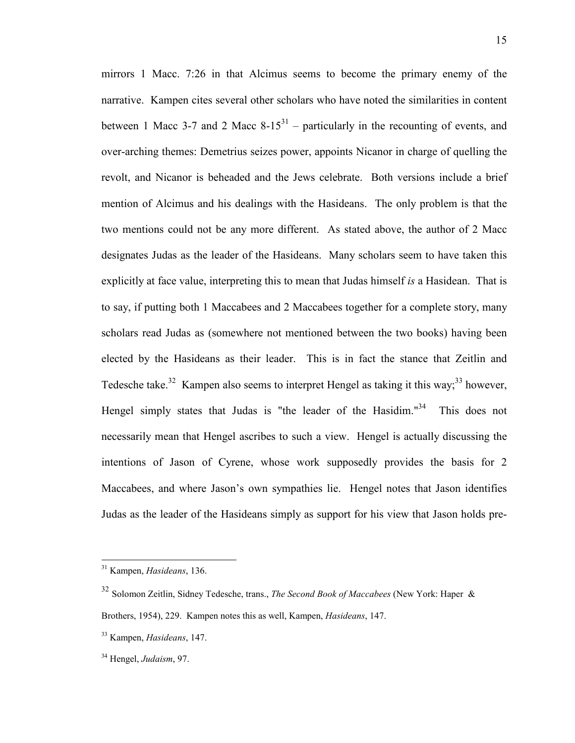mirrors 1 Macc. 7:26 in that Alcimus seems to become the primary enemy of the narrative. Kampen cites several other scholars who have noted the similarities in content between 1 Macc 3-7 and 2 Macc  $8-15<sup>31</sup>$  – particularly in the recounting of events, and over-arching themes: Demetrius seizes power, appoints Nicanor in charge of quelling the revolt, and Nicanor is beheaded and the Jews celebrate. Both versions include a brief mention of Alcimus and his dealings with the Hasideans. The only problem is that the two mentions could not be any more different. As stated above, the author of 2 Macc designates Judas as the leader of the Hasideans. Many scholars seem to have taken this explicitly at face value, interpreting this to mean that Judas himself *is* a Hasidean. That is to say, if putting both 1 Maccabees and 2 Maccabees together for a complete story, many scholars read Judas as (somewhere not mentioned between the two books) having been elected by the Hasideans as their leader. This is in fact the stance that Zeitlin and Tedesche take.<sup>32</sup> Kampen also seems to interpret Hengel as taking it this way;<sup>33</sup> however, Hengel simply states that Judas is "the leader of the Hasidim."<sup>34</sup> This does not necessarily mean that Hengel ascribes to such a view. Hengel is actually discussing the intentions of Jason of Cyrene, whose work supposedly provides the basis for 2 Maccabees, and where Jason's own sympathies lie. Hengel notes that Jason identifies Judas as the leader of the Hasideans simply as support for his view that Jason holds pre-

<sup>31</sup> Kampen, *Hasideans*, 136.

<sup>32</sup> Solomon Zeitlin, Sidney Tedesche, trans., *The Second Book of Maccabees* (New York: Haper & Brothers, 1954), 229. Kampen notes this as well, Kampen, *Hasideans*, 147.

<sup>33</sup> Kampen, *Hasideans*, 147.

<sup>34</sup> Hengel, *Judaism*, 97.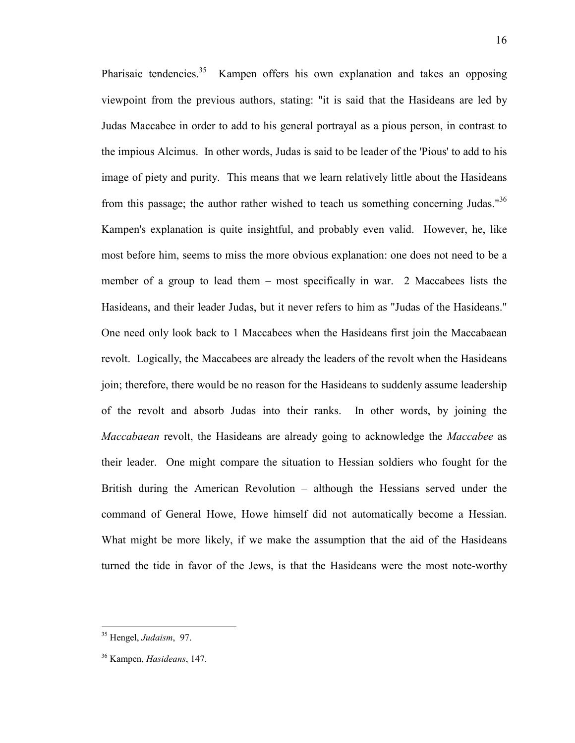Pharisaic tendencies.<sup>35</sup> Kampen offers his own explanation and takes an opposing viewpoint from the previous authors, stating: "it is said that the Hasideans are led by Judas Maccabee in order to add to his general portrayal as a pious person, in contrast to the impious Alcimus. In other words, Judas is said to be leader of the 'Pious' to add to his image of piety and purity. This means that we learn relatively little about the Hasideans from this passage; the author rather wished to teach us something concerning Judas." $36$ Kampen's explanation is quite insightful, and probably even valid. However, he, like most before him, seems to miss the more obvious explanation: one does not need to be a member of a group to lead them – most specifically in war. 2 Maccabees lists the Hasideans, and their leader Judas, but it never refers to him as "Judas of the Hasideans." One need only look back to 1 Maccabees when the Hasideans first join the Maccabaean revolt. Logically, the Maccabees are already the leaders of the revolt when the Hasideans join; therefore, there would be no reason for the Hasideans to suddenly assume leadership of the revolt and absorb Judas into their ranks. In other words, by joining the *Maccabaean* revolt, the Hasideans are already going to acknowledge the *Maccabee* as their leader. One might compare the situation to Hessian soldiers who fought for the British during the American Revolution – although the Hessians served under the command of General Howe, Howe himself did not automatically become a Hessian. What might be more likely, if we make the assumption that the aid of the Hasideans turned the tide in favor of the Jews, is that the Hasideans were the most note-worthy

<sup>35</sup> Hengel, *Judaism*, 97.

<sup>36</sup> Kampen, *Hasideans*, 147.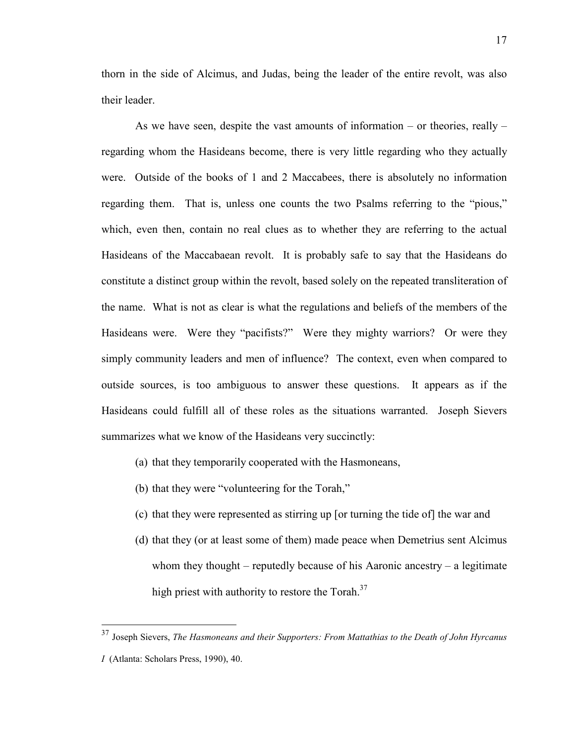thorn in the side of Alcimus, and Judas, being the leader of the entire revolt, was also their leader.

 As we have seen, despite the vast amounts of information – or theories, really – regarding whom the Hasideans become, there is very little regarding who they actually were. Outside of the books of 1 and 2 Maccabees, there is absolutely no information regarding them. That is, unless one counts the two Psalms referring to the "pious," which, even then, contain no real clues as to whether they are referring to the actual Hasideans of the Maccabaean revolt. It is probably safe to say that the Hasideans do constitute a distinct group within the revolt, based solely on the repeated transliteration of the name. What is not as clear is what the regulations and beliefs of the members of the Hasideans were. Were they "pacifists?" Were they mighty warriors? Or were they simply community leaders and men of influence? The context, even when compared to outside sources, is too ambiguous to answer these questions. It appears as if the Hasideans could fulfill all of these roles as the situations warranted. Joseph Sievers summarizes what we know of the Hasideans very succinctly:

- (a) that they temporarily cooperated with the Hasmoneans,
- (b) that they were "volunteering for the Torah,"

- (c) that they were represented as stirring up [or turning the tide of] the war and
- (d) that they (or at least some of them) made peace when Demetrius sent Alcimus whom they thought – reputedly because of his Aaronic ancestry – a legitimate high priest with authority to restore the Torah. $37$

<sup>37</sup> Joseph Sievers, *The Hasmoneans and their Supporters: From Mattathias to the Death of John Hyrcanus I* (Atlanta: Scholars Press, 1990), 40.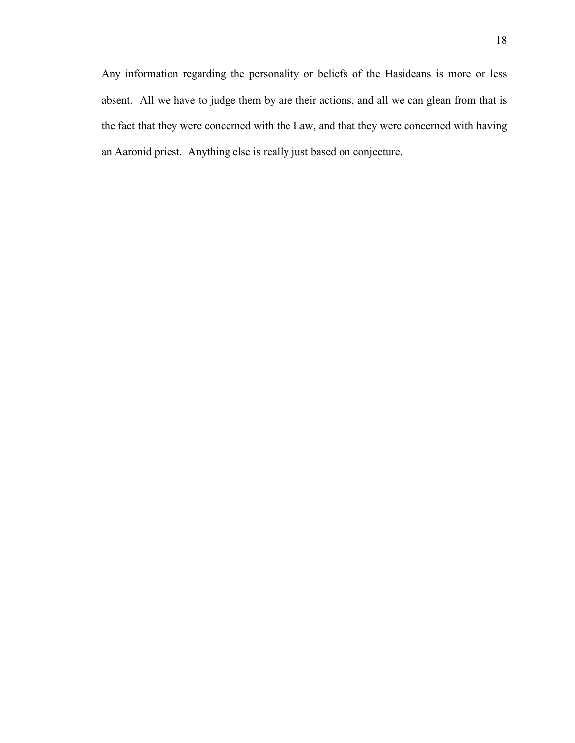Any information regarding the personality or beliefs of the Hasideans is more or less absent. All we have to judge them by are their actions, and all we can glean from that is the fact that they were concerned with the Law, and that they were concerned with having an Aaronid priest. Anything else is really just based on conjecture.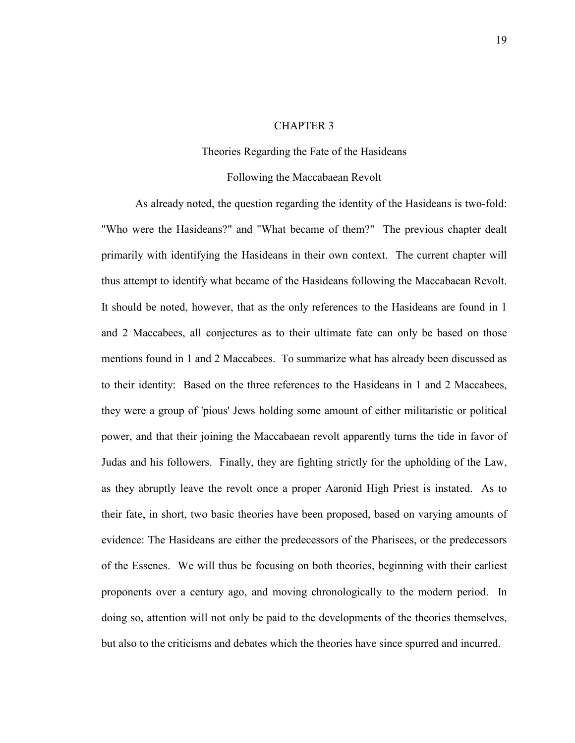## CHAPTER 3

#### Theories Regarding the Fate of the Hasideans

#### Following the Maccabaean Revolt

 As already noted, the question regarding the identity of the Hasideans is two-fold: "Who were the Hasideans?" and "What became of them?" The previous chapter dealt primarily with identifying the Hasideans in their own context. The current chapter will thus attempt to identify what became of the Hasideans following the Maccabaean Revolt. It should be noted, however, that as the only references to the Hasideans are found in 1 and 2 Maccabees, all conjectures as to their ultimate fate can only be based on those mentions found in 1 and 2 Maccabees. To summarize what has already been discussed as to their identity: Based on the three references to the Hasideans in 1 and 2 Maccabees, they were a group of 'pious' Jews holding some amount of either militaristic or political power, and that their joining the Maccabaean revolt apparently turns the tide in favor of Judas and his followers. Finally, they are fighting strictly for the upholding of the Law, as they abruptly leave the revolt once a proper Aaronid High Priest is instated. As to their fate, in short, two basic theories have been proposed, based on varying amounts of evidence: The Hasideans are either the predecessors of the Pharisees, or the predecessors of the Essenes. We will thus be focusing on both theories, beginning with their earliest proponents over a century ago, and moving chronologically to the modern period. In doing so, attention will not only be paid to the developments of the theories themselves, but also to the criticisms and debates which the theories have since spurred and incurred.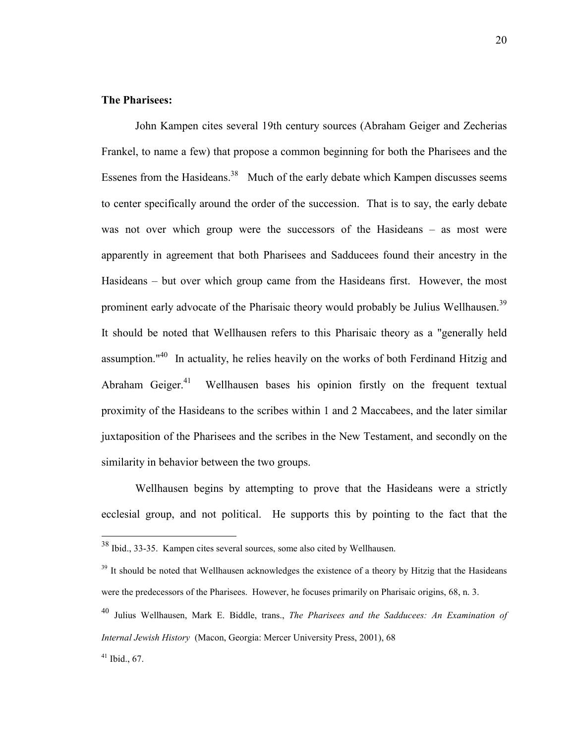# **The Pharisees:**

 John Kampen cites several 19th century sources (Abraham Geiger and Zecherias Frankel, to name a few) that propose a common beginning for both the Pharisees and the Essenes from the Hasideans.<sup>38</sup> Much of the early debate which Kampen discusses seems to center specifically around the order of the succession. That is to say, the early debate was not over which group were the successors of the Hasideans – as most were apparently in agreement that both Pharisees and Sadducees found their ancestry in the Hasideans – but over which group came from the Hasideans first. However, the most prominent early advocate of the Pharisaic theory would probably be Julius Wellhausen.<sup>39</sup> It should be noted that Wellhausen refers to this Pharisaic theory as a "generally held assumption." $40$  In actuality, he relies heavily on the works of both Ferdinand Hitzig and Abraham Geiger.<sup>41</sup> Wellhausen bases his opinion firstly on the frequent textual proximity of the Hasideans to the scribes within 1 and 2 Maccabees, and the later similar juxtaposition of the Pharisees and the scribes in the New Testament, and secondly on the similarity in behavior between the two groups.

 Wellhausen begins by attempting to prove that the Hasideans were a strictly ecclesial group, and not political. He supports this by pointing to the fact that the

<sup>38</sup> Ibid., 33-35. Kampen cites several sources, some also cited by Wellhausen.

<sup>&</sup>lt;sup>39</sup> It should be noted that Wellhausen acknowledges the existence of a theory by Hitzig that the Hasideans were the predecessors of the Pharisees. However, he focuses primarily on Pharisaic origins, 68, n. 3.

<sup>40</sup> Julius Wellhausen, Mark E. Biddle, trans., *The Pharisees and the Sadducees: An Examination of Internal Jewish History* (Macon, Georgia: Mercer University Press, 2001), 68

 $41$  Ibid., 67.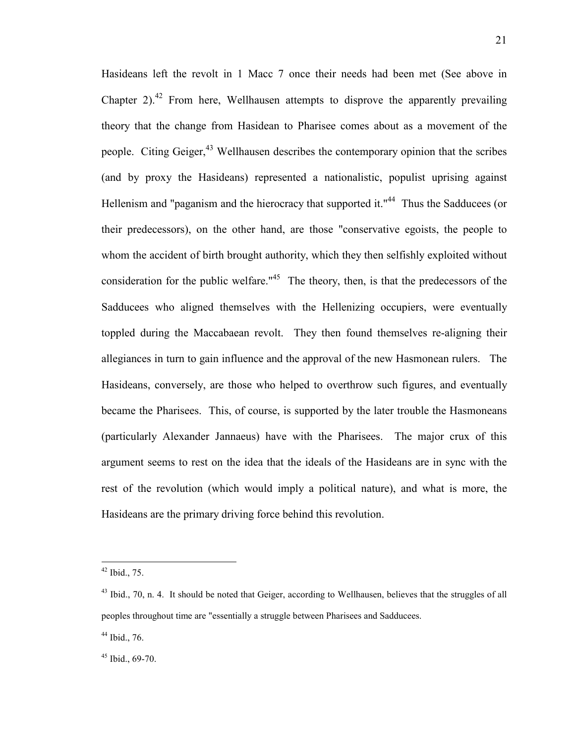Hasideans left the revolt in 1 Macc 7 once their needs had been met (See above in Chapter 2).<sup>42</sup> From here, Wellhausen attempts to disprove the apparently prevailing theory that the change from Hasidean to Pharisee comes about as a movement of the people. Citing Geiger,<sup>43</sup> Wellhausen describes the contemporary opinion that the scribes (and by proxy the Hasideans) represented a nationalistic, populist uprising against Hellenism and "paganism and the hierocracy that supported it."<sup>44</sup> Thus the Sadducees (or their predecessors), on the other hand, are those "conservative egoists, the people to whom the accident of birth brought authority, which they then selfishly exploited without consideration for the public welfare. $145$  The theory, then, is that the predecessors of the Sadducees who aligned themselves with the Hellenizing occupiers, were eventually toppled during the Maccabaean revolt. They then found themselves re-aligning their allegiances in turn to gain influence and the approval of the new Hasmonean rulers. The Hasideans, conversely, are those who helped to overthrow such figures, and eventually became the Pharisees. This, of course, is supported by the later trouble the Hasmoneans (particularly Alexander Jannaeus) have with the Pharisees. The major crux of this argument seems to rest on the idea that the ideals of the Hasideans are in sync with the rest of the revolution (which would imply a political nature), and what is more, the Hasideans are the primary driving force behind this revolution.

 $42$  Ibid., 75.

<sup>&</sup>lt;sup>43</sup> Ibid., 70, n. 4. It should be noted that Geiger, according to Wellhausen, believes that the struggles of all peoples throughout time are "essentially a struggle between Pharisees and Sadducees.

<sup>44</sup> Ibid., 76.

 $45$  Ibid., 69-70.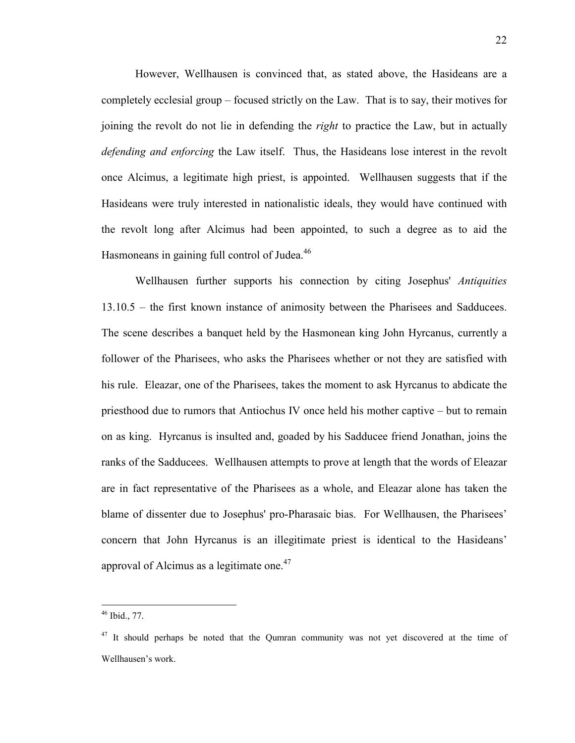However, Wellhausen is convinced that, as stated above, the Hasideans are a completely ecclesial group – focused strictly on the Law. That is to say, their motives for joining the revolt do not lie in defending the *right* to practice the Law, but in actually *defending and enforcing* the Law itself. Thus, the Hasideans lose interest in the revolt once Alcimus, a legitimate high priest, is appointed. Wellhausen suggests that if the Hasideans were truly interested in nationalistic ideals, they would have continued with the revolt long after Alcimus had been appointed, to such a degree as to aid the Hasmoneans in gaining full control of Judea.<sup>46</sup>

 Wellhausen further supports his connection by citing Josephus' *Antiquities* 13.10.5 – the first known instance of animosity between the Pharisees and Sadducees. The scene describes a banquet held by the Hasmonean king John Hyrcanus, currently a follower of the Pharisees, who asks the Pharisees whether or not they are satisfied with his rule. Eleazar, one of the Pharisees, takes the moment to ask Hyrcanus to abdicate the priesthood due to rumors that Antiochus IV once held his mother captive – but to remain on as king. Hyrcanus is insulted and, goaded by his Sadducee friend Jonathan, joins the ranks of the Sadducees. Wellhausen attempts to prove at length that the words of Eleazar are in fact representative of the Pharisees as a whole, and Eleazar alone has taken the blame of dissenter due to Josephus' pro-Pharasaic bias. For Wellhausen, the Pharisees' concern that John Hyrcanus is an illegitimate priest is identical to the Hasideans' approval of Alcimus as a legitimate one. $47$ 

 $46$  Ibid., 77.

 $47$  It should perhaps be noted that the Qumran community was not yet discovered at the time of Wellhausen's work.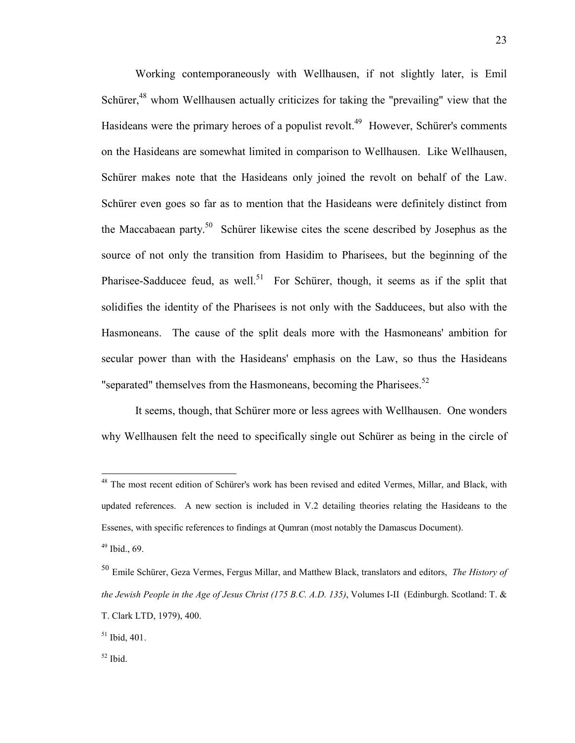Working contemporaneously with Wellhausen, if not slightly later, is Emil Schürer,<sup>48</sup> whom Wellhausen actually criticizes for taking the "prevailing" view that the Hasideans were the primary heroes of a populist revolt.<sup>49</sup> However, Schürer's comments on the Hasideans are somewhat limited in comparison to Wellhausen. Like Wellhausen, Schürer makes note that the Hasideans only joined the revolt on behalf of the Law. Schürer even goes so far as to mention that the Hasideans were definitely distinct from the Maccabaean party.<sup>50</sup> Schürer likewise cites the scene described by Josephus as the source of not only the transition from Hasidim to Pharisees, but the beginning of the Pharisee-Sadducee feud, as well.<sup>51</sup> For Schürer, though, it seems as if the split that solidifies the identity of the Pharisees is not only with the Sadducees, but also with the Hasmoneans. The cause of the split deals more with the Hasmoneans' ambition for secular power than with the Hasideans' emphasis on the Law, so thus the Hasideans "separated" themselves from the Hasmoneans, becoming the Pharisees.<sup>52</sup>

 It seems, though, that Schürer more or less agrees with Wellhausen. One wonders why Wellhausen felt the need to specifically single out Schürer as being in the circle of

l

<sup>&</sup>lt;sup>48</sup> The most recent edition of Schürer's work has been revised and edited Vermes, Millar, and Black, with updated references. A new section is included in V.2 detailing theories relating the Hasideans to the Essenes, with specific references to findings at Qumran (most notably the Damascus Document).  $49$  Ibid., 69.

<sup>50</sup> Emile Schürer, Geza Vermes, Fergus Millar, and Matthew Black, translators and editors, *The History of the Jewish People in the Age of Jesus Christ (175 B.C. A.D. 135)*, Volumes I-II (Edinburgh. Scotland: T. & T. Clark LTD, 1979), 400.

 $51$  Ibid, 401.

<sup>52</sup> Ibid.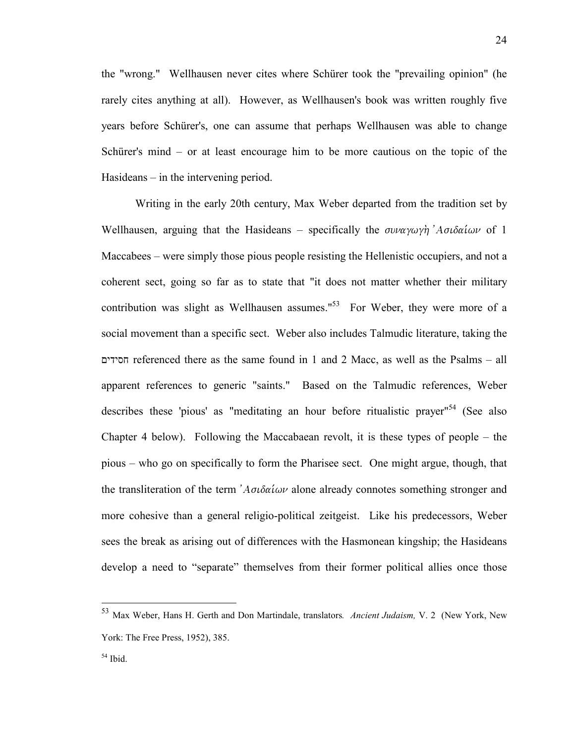the "wrong." Wellhausen never cites where Schürer took the "prevailing opinion" (he rarely cites anything at all). However, as Wellhausen's book was written roughly five years before Schürer's, one can assume that perhaps Wellhausen was able to change Schürer's mind – or at least encourage him to be more cautious on the topic of the Hasideans – in the intervening period.

 Writing in the early 20th century, Max Weber departed from the tradition set by Wellhausen, arguing that the Hasideans – specifically the  $\sigma \nu \alpha \gamma \omega \gamma \dot{\eta}$  *A* $\sigma \nu \delta \alpha \dot{\mu} \omega \nu$  of 1 Maccabees – were simply those pious people resisting the Hellenistic occupiers, and not a coherent sect, going so far as to state that "it does not matter whether their military contribution was slight as Wellhausen assumes."<sup>53</sup> For Weber, they were more of a social movement than a specific sect. Weber also includes Talmudic literature, taking the חסידים referenced there as the same found in 1 and 2 Macc, as well as the Psalms – all apparent references to generic "saints." Based on the Talmudic references, Weber describes these 'pious' as "meditating an hour before ritualistic prayer"<sup>54</sup> (See also Chapter 4 below). Following the Maccabaean revolt, it is these types of people – the pious – who go on specifically to form the Pharisee sect. One might argue, though, that the transliteration of the term  $A\sigma\delta\alpha\delta\omega\omega$  alone already connotes something stronger and more cohesive than a general religio-political zeitgeist. Like his predecessors, Weber sees the break as arising out of differences with the Hasmonean kingship; the Hasideans develop a need to "separate" themselves from their former political allies once those

l

<sup>53</sup> Max Weber, Hans H. Gerth and Don Martindale, translators*. Ancient Judaism,* V. 2 (New York, New York: The Free Press, 1952), 385.

 $54$  Ibid.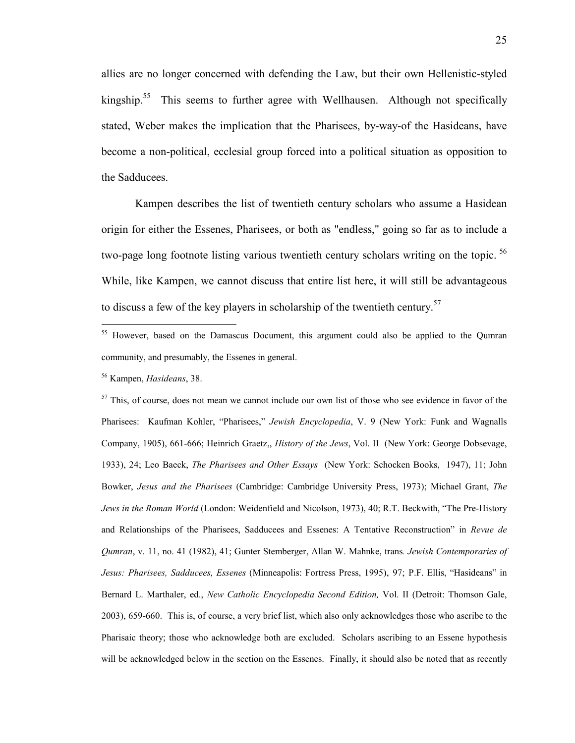allies are no longer concerned with defending the Law, but their own Hellenistic-styled kingship.<sup>55</sup> This seems to further agree with Wellhausen. Although not specifically stated, Weber makes the implication that the Pharisees, by-way-of the Hasideans, have become a non-political, ecclesial group forced into a political situation as opposition to the Sadducees.

 Kampen describes the list of twentieth century scholars who assume a Hasidean origin for either the Essenes, Pharisees, or both as "endless," going so far as to include a two-page long footnote listing various twentieth century scholars writing on the topic.<sup>56</sup> While, like Kampen, we cannot discuss that entire list here, it will still be advantageous to discuss a few of the key players in scholarship of the twentieth century.<sup>57</sup>

<sup>56</sup> Kampen, *Hasideans*, 38.

l

 $57$  This, of course, does not mean we cannot include our own list of those who see evidence in favor of the Pharisees: Kaufman Kohler, "Pharisees," *Jewish Encyclopedia*, V. 9 (New York: Funk and Wagnalls Company, 1905), 661-666; Heinrich Graetz,, *History of the Jews*, Vol. II (New York: George Dobsevage, 1933), 24; Leo Baeck, *The Pharisees and Other Essays* (New York: Schocken Books, 1947), 11; John Bowker, *Jesus and the Pharisees* (Cambridge: Cambridge University Press, 1973); Michael Grant, *The Jews in the Roman World* (London: Weidenfield and Nicolson, 1973), 40; R.T. Beckwith, "The Pre-History and Relationships of the Pharisees, Sadducees and Essenes: A Tentative Reconstruction" in *Revue de Qumran*, v. 11, no. 41 (1982), 41; Gunter Stemberger, Allan W. Mahnke, trans*. Jewish Contemporaries of Jesus: Pharisees, Sadducees, Essenes* (Minneapolis: Fortress Press, 1995), 97; P.F. Ellis, "Hasideans" in Bernard L. Marthaler, ed., *New Catholic Encyclopedia Second Edition,* Vol. II (Detroit: Thomson Gale, 2003), 659-660. This is, of course, a very brief list, which also only acknowledges those who ascribe to the Pharisaic theory; those who acknowledge both are excluded. Scholars ascribing to an Essene hypothesis will be acknowledged below in the section on the Essenes. Finally, it should also be noted that as recently

<sup>&</sup>lt;sup>55</sup> However, based on the Damascus Document, this argument could also be applied to the Qumran community, and presumably, the Essenes in general.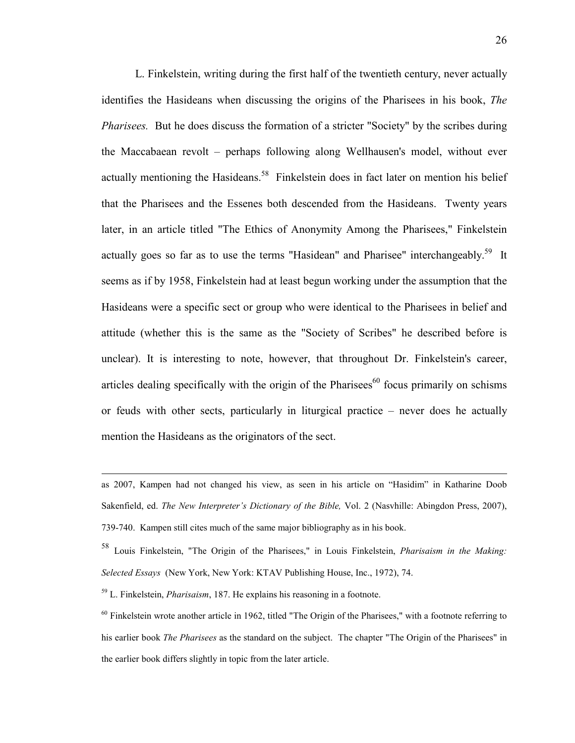L. Finkelstein, writing during the first half of the twentieth century, never actually identifies the Hasideans when discussing the origins of the Pharisees in his book, *The Pharisees.* But he does discuss the formation of a stricter "Society" by the scribes during the Maccabaean revolt – perhaps following along Wellhausen's model, without ever actually mentioning the Hasideans.<sup>58</sup> Finkelstein does in fact later on mention his belief that the Pharisees and the Essenes both descended from the Hasideans. Twenty years later, in an article titled "The Ethics of Anonymity Among the Pharisees," Finkelstein actually goes so far as to use the terms "Hasidean" and Pharisee" interchangeably.<sup>59</sup> It seems as if by 1958, Finkelstein had at least begun working under the assumption that the Hasideans were a specific sect or group who were identical to the Pharisees in belief and attitude (whether this is the same as the "Society of Scribes" he described before is unclear). It is interesting to note, however, that throughout Dr. Finkelstein's career, articles dealing specifically with the origin of the Pharisees<sup>60</sup> focus primarily on schisms or feuds with other sects, particularly in liturgical practice – never does he actually mention the Hasideans as the originators of the sect.

l

as 2007, Kampen had not changed his view, as seen in his article on "Hasidim" in Katharine Doob Sakenfield, ed. *The New Interpreter's Dictionary of the Bible,* Vol. 2 (Nasvhille: Abingdon Press, 2007), 739-740. Kampen still cites much of the same major bibliography as in his book.

<sup>58</sup> Louis Finkelstein, "The Origin of the Pharisees," in Louis Finkelstein, *Pharisaism in the Making: Selected Essays* (New York, New York: KTAV Publishing House, Inc., 1972), 74.

<sup>59</sup> L. Finkelstein, *Pharisaism*, 187. He explains his reasoning in a footnote.

 $60$  Finkelstein wrote another article in 1962, titled "The Origin of the Pharisees," with a footnote referring to his earlier book *The Pharisees* as the standard on the subject. The chapter "The Origin of the Pharisees" in the earlier book differs slightly in topic from the later article.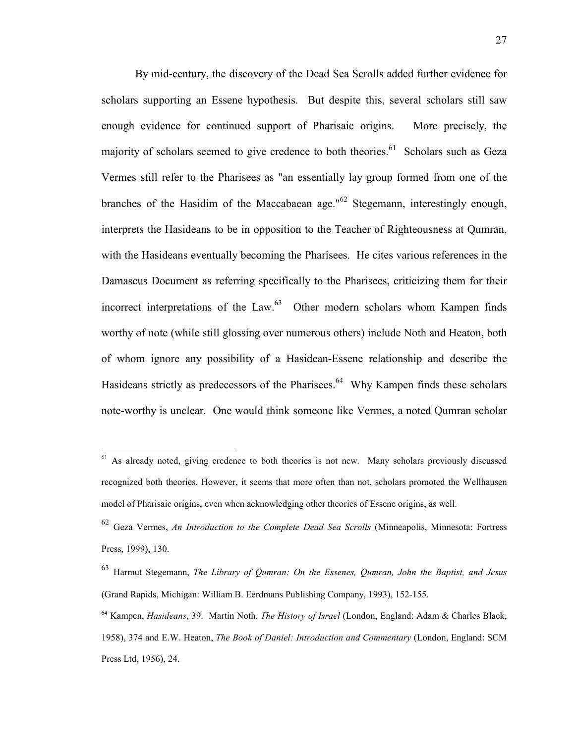By mid-century, the discovery of the Dead Sea Scrolls added further evidence for scholars supporting an Essene hypothesis. But despite this, several scholars still saw enough evidence for continued support of Pharisaic origins. More precisely, the majority of scholars seemed to give credence to both theories.<sup>61</sup> Scholars such as Geza Vermes still refer to the Pharisees as "an essentially lay group formed from one of the branches of the Hasidim of the Maccabaean age."<sup>62</sup> Stegemann, interestingly enough, interprets the Hasideans to be in opposition to the Teacher of Righteousness at Qumran, with the Hasideans eventually becoming the Pharisees. He cites various references in the Damascus Document as referring specifically to the Pharisees, criticizing them for their incorrect interpretations of the Law.<sup>63</sup> Other modern scholars whom Kampen finds worthy of note (while still glossing over numerous others) include Noth and Heaton, both of whom ignore any possibility of a Hasidean-Essene relationship and describe the Hasideans strictly as predecessors of the Pharisees.<sup>64</sup> Why Kampen finds these scholars note-worthy is unclear. One would think someone like Vermes, a noted Qumran scholar

<sup>&</sup>lt;sup>61</sup> As already noted, giving credence to both theories is not new. Many scholars previously discussed recognized both theories. However, it seems that more often than not, scholars promoted the Wellhausen model of Pharisaic origins, even when acknowledging other theories of Essene origins, as well.

<sup>62</sup> Geza Vermes, *An Introduction to the Complete Dead Sea Scrolls* (Minneapolis, Minnesota: Fortress Press, 1999), 130.

<sup>63</sup> Harmut Stegemann, *The Library of Qumran: On the Essenes, Qumran, John the Baptist, and Jesus* (Grand Rapids, Michigan: William B. Eerdmans Publishing Company, 1993), 152-155.

<sup>64</sup> Kampen, *Hasideans*, 39. Martin Noth, *The History of Israel* (London, England: Adam & Charles Black, 1958), 374 and E.W. Heaton, *The Book of Daniel: Introduction and Commentary* (London, England: SCM Press Ltd, 1956), 24.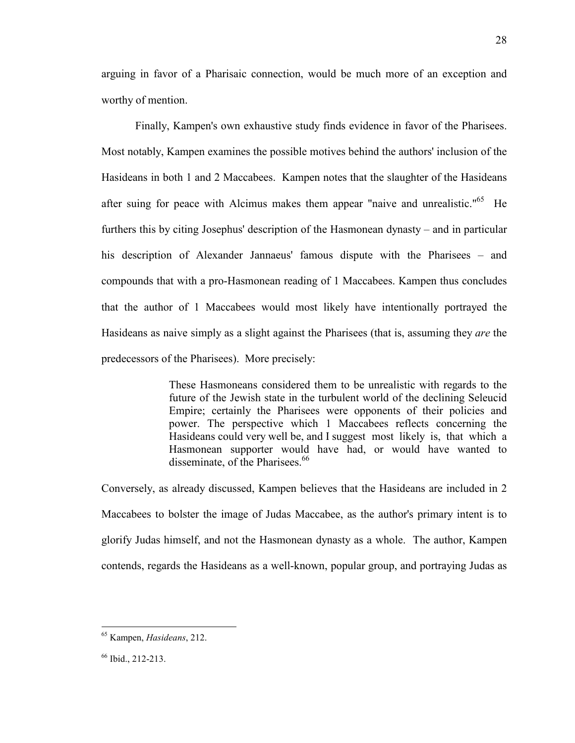arguing in favor of a Pharisaic connection, would be much more of an exception and worthy of mention.

 Finally, Kampen's own exhaustive study finds evidence in favor of the Pharisees. Most notably, Kampen examines the possible motives behind the authors' inclusion of the Hasideans in both 1 and 2 Maccabees. Kampen notes that the slaughter of the Hasideans after suing for peace with Alcimus makes them appear "naive and unrealistic."<sup>65</sup> He furthers this by citing Josephus' description of the Hasmonean dynasty – and in particular his description of Alexander Jannaeus' famous dispute with the Pharisees – and compounds that with a pro-Hasmonean reading of 1 Maccabees. Kampen thus concludes that the author of 1 Maccabees would most likely have intentionally portrayed the Hasideans as naive simply as a slight against the Pharisees (that is, assuming they *are* the predecessors of the Pharisees). More precisely:

> These Hasmoneans considered them to be unrealistic with regards to the future of the Jewish state in the turbulent world of the declining Seleucid Empire; certainly the Pharisees were opponents of their policies and power. The perspective which 1 Maccabees reflects concerning the Hasideans could very well be, and I suggest most likely is, that which a Hasmonean supporter would have had, or would have wanted to disseminate, of the Pharisees.<sup>66</sup>

Conversely, as already discussed, Kampen believes that the Hasideans are included in 2 Maccabees to bolster the image of Judas Maccabee, as the author's primary intent is to glorify Judas himself, and not the Hasmonean dynasty as a whole. The author, Kampen contends, regards the Hasideans as a well-known, popular group, and portraying Judas as

<sup>65</sup> Kampen, *Hasideans*, 212.

<sup>66</sup> Ibid., 212-213.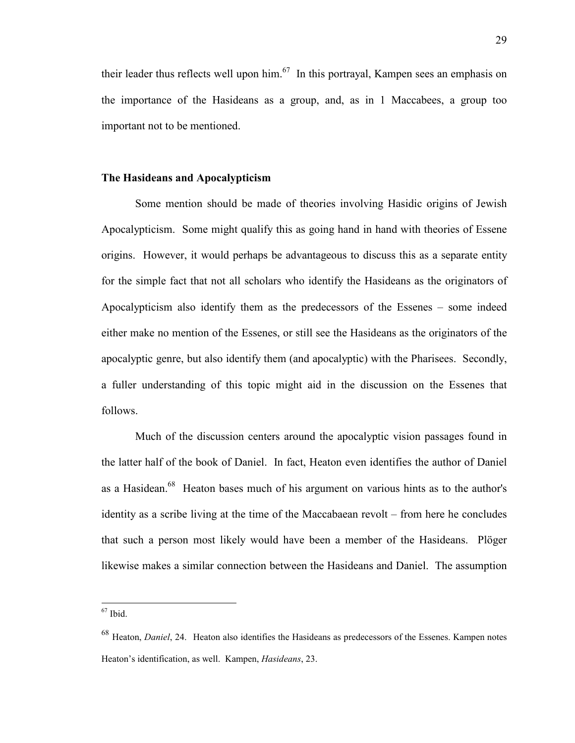their leader thus reflects well upon him.<sup>67</sup> In this portrayal, Kampen sees an emphasis on the importance of the Hasideans as a group, and, as in 1 Maccabees, a group too important not to be mentioned.

## **The Hasideans and Apocalypticism**

 Some mention should be made of theories involving Hasidic origins of Jewish Apocalypticism. Some might qualify this as going hand in hand with theories of Essene origins. However, it would perhaps be advantageous to discuss this as a separate entity for the simple fact that not all scholars who identify the Hasideans as the originators of Apocalypticism also identify them as the predecessors of the Essenes – some indeed either make no mention of the Essenes, or still see the Hasideans as the originators of the apocalyptic genre, but also identify them (and apocalyptic) with the Pharisees. Secondly, a fuller understanding of this topic might aid in the discussion on the Essenes that follows.

 Much of the discussion centers around the apocalyptic vision passages found in the latter half of the book of Daniel. In fact, Heaton even identifies the author of Daniel as a Hasidean.<sup>68</sup> Heaton bases much of his argument on various hints as to the author's identity as a scribe living at the time of the Maccabaean revolt – from here he concludes that such a person most likely would have been a member of the Hasideans. Plöger likewise makes a similar connection between the Hasideans and Daniel. The assumption

l

 $67$  Ibid.

<sup>68</sup> Heaton, *Daniel*, 24. Heaton also identifies the Hasideans as predecessors of the Essenes. Kampen notes Heaton's identification, as well. Kampen, *Hasideans*, 23.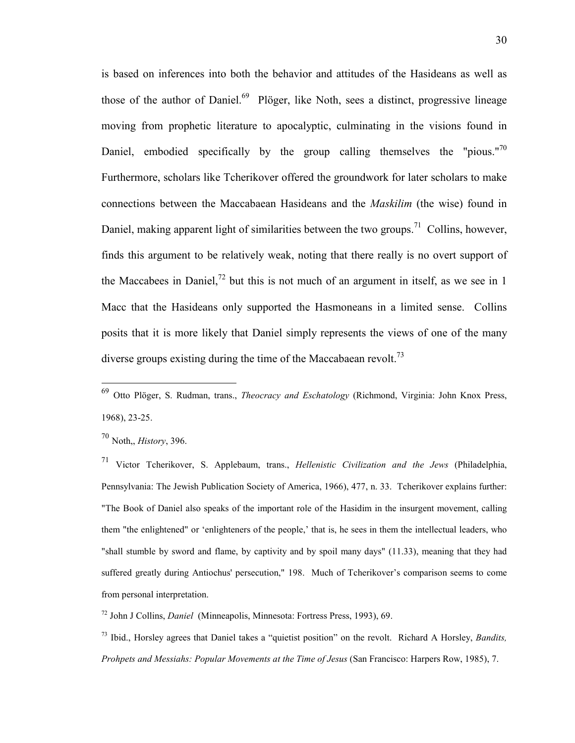is based on inferences into both the behavior and attitudes of the Hasideans as well as those of the author of Daniel. $69$  Plöger, like Noth, sees a distinct, progressive lineage moving from prophetic literature to apocalyptic, culminating in the visions found in Daniel, embodied specifically by the group calling themselves the "pious."<sup>70</sup> Furthermore, scholars like Tcherikover offered the groundwork for later scholars to make connections between the Maccabaean Hasideans and the *Maskilim* (the wise) found in Daniel, making apparent light of similarities between the two groups.<sup>71</sup> Collins, however, finds this argument to be relatively weak, noting that there really is no overt support of the Maccabees in Daniel,<sup>72</sup> but this is not much of an argument in itself, as we see in 1 Macc that the Hasideans only supported the Hasmoneans in a limited sense. Collins posits that it is more likely that Daniel simply represents the views of one of the many diverse groups existing during the time of the Maccabaean revolt.<sup>73</sup>

 $\overline{a}$ 

<sup>71</sup> Victor Tcherikover, S. Applebaum, trans., *Hellenistic Civilization and the Jews* (Philadelphia, Pennsylvania: The Jewish Publication Society of America, 1966), 477, n. 33. Tcherikover explains further: "The Book of Daniel also speaks of the important role of the Hasidim in the insurgent movement, calling them "the enlightened" or 'enlighteners of the people,' that is, he sees in them the intellectual leaders, who "shall stumble by sword and flame, by captivity and by spoil many days" (11.33), meaning that they had suffered greatly during Antiochus' persecution," 198. Much of Tcherikover's comparison seems to come from personal interpretation.

<sup>72</sup> John J Collins, *Daniel* (Minneapolis, Minnesota: Fortress Press, 1993), 69.

<sup>73</sup> Ibid., Horsley agrees that Daniel takes a "quietist position" on the revolt. Richard A Horsley, *Bandits, Prohpets and Messiahs: Popular Movements at the Time of Jesus* (San Francisco: Harpers Row, 1985), 7.

<sup>69</sup> Otto Plöger, S. Rudman, trans., *Theocracy and Eschatology* (Richmond, Virginia: John Knox Press, 1968), 23-25.

<sup>70</sup> Noth,, *History*, 396.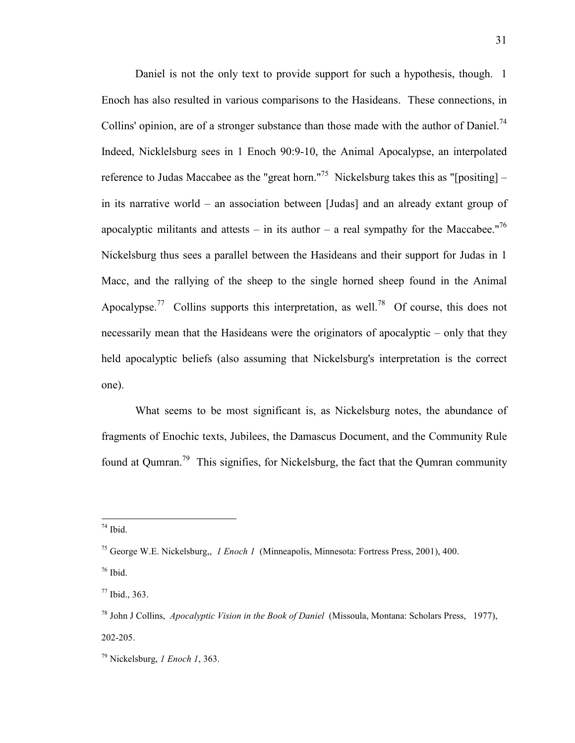Daniel is not the only text to provide support for such a hypothesis, though. 1 Enoch has also resulted in various comparisons to the Hasideans. These connections, in Collins' opinion, are of a stronger substance than those made with the author of Daniel.<sup>74</sup> Indeed, Nicklelsburg sees in 1 Enoch 90:9-10, the Animal Apocalypse, an interpolated reference to Judas Maccabee as the "great horn."<sup>75</sup> Nickelsburg takes this as "[positing] – in its narrative world – an association between [Judas] and an already extant group of apocalyptic militants and attests – in its author – a real sympathy for the Maccabee."<sup>76</sup> Nickelsburg thus sees a parallel between the Hasideans and their support for Judas in 1 Macc, and the rallying of the sheep to the single horned sheep found in the Animal Apocalypse.<sup>77</sup> Collins supports this interpretation, as well.<sup>78</sup> Of course, this does not necessarily mean that the Hasideans were the originators of apocalyptic – only that they held apocalyptic beliefs (also assuming that Nickelsburg's interpretation is the correct one).

 What seems to be most significant is, as Nickelsburg notes, the abundance of fragments of Enochic texts, Jubilees, the Damascus Document, and the Community Rule found at Qumran.<sup>79</sup> This signifies, for Nickelsburg, the fact that the Qumran community

 $\overline{a}$  $74$  Ibid.

<sup>75</sup> George W.E. Nickelsburg,, *1 Enoch 1* (Minneapolis, Minnesota: Fortress Press, 2001), 400.

 $76$  Ibid.

<sup>77</sup> Ibid., 363.

<sup>78</sup> John J Collins, *Apocalyptic Vision in the Book of Daniel* (Missoula, Montana: Scholars Press, 1977), 202-205.

<sup>79</sup> Nickelsburg, *1 Enoch 1*, 363.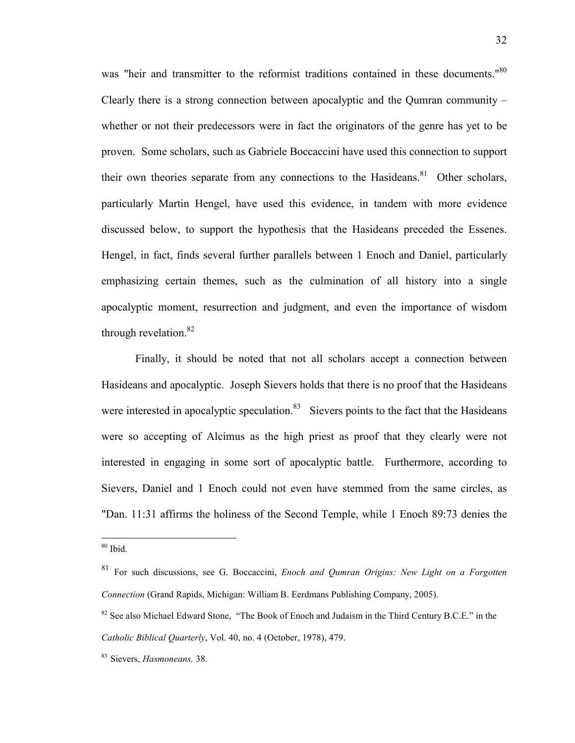was "heir and transmitter to the reformist traditions contained in these documents."<sup>80</sup> Clearly there is a strong connection between apocalyptic and the Qumran community – whether or not their predecessors were in fact the originators of the genre has yet to be proven. Some scholars, such as Gabriele Boccaccini have used this connection to support their own theories separate from any connections to the Hasideans.<sup>81</sup> Other scholars, particularly Martin Hengel, have used this evidence, in tandem with more evidence discussed below, to support the hypothesis that the Hasideans preceded the Essenes. Hengel, in fact, finds several further parallels between 1 Enoch and Daniel, particularly emphasizing certain themes, such as the culmination of all history into a single apocalyptic moment, resurrection and judgment, and even the importance of wisdom through revelation. $82$ 

 Finally, it should be noted that not all scholars accept a connection between Hasideans and apocalyptic. Joseph Sievers holds that there is no proof that the Hasideans were interested in apocalyptic speculation. $83$  Sievers points to the fact that the Hasideans were so accepting of Alcimus as the high priest as proof that they clearly were not interested in engaging in some sort of apocalyptic battle. Furthermore, according to Sievers, Daniel and 1 Enoch could not even have stemmed from the same circles, as "Dan. 11:31 affirms the holiness of the Second Temple, while 1 Enoch 89:73 denies the

l

<sup>80</sup> Ibid.

<sup>81</sup> For such discussions, see G. Boccaccini, *Enoch and Qumran Origins: New Light on a Forgotten Connection* (Grand Rapids, Michigan: William B. Eerdmans Publishing Company, 2005).

<sup>&</sup>lt;sup>82</sup> See also Michael Edward Stone, "The Book of Enoch and Judaism in the Third Century B.C.E." in the *Catholic Biblical Quarterly*, Vol. 40, no. 4 (October, 1978), 479.

<sup>83</sup> Sievers, *Hasmoneans,* 38.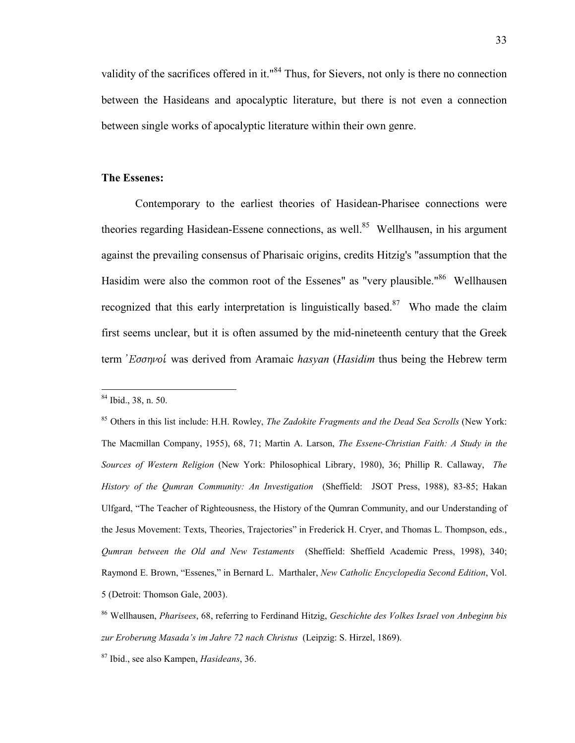validity of the sacrifices offered in it."<sup>84</sup> Thus, for Sievers, not only is there no connection between the Hasideans and apocalyptic literature, but there is not even a connection between single works of apocalyptic literature within their own genre.

#### **The Essenes:**

 Contemporary to the earliest theories of Hasidean-Pharisee connections were theories regarding Hasidean-Essene connections, as well.<sup>85</sup> Wellhausen, in his argument against the prevailing consensus of Pharisaic origins, credits Hitzig's "assumption that the Hasidim were also the common root of the Essenes" as "very plausible."<sup>86</sup> Wellhausen recognized that this early interpretation is linguistically based.<sup>87</sup> Who made the claim first seems unclear, but it is often assumed by the mid-nineteenth century that the Greek term *Εσσηνοί* was derived from Aramaic *hasyan* (*Hasidim* thus being the Hebrew term

<sup>84</sup> Ibid., 38, n. 50.

<sup>85</sup> Others in this list include: H.H. Rowley, *The Zadokite Fragments and the Dead Sea Scrolls* (New York: The Macmillan Company, 1955), 68, 71; Martin A. Larson, *The Essene-Christian Faith: A Study in the Sources of Western Religion* (New York: Philosophical Library, 1980), 36; Phillip R. Callaway, *The History of the Qumran Community: An Investigation* (Sheffield: JSOT Press, 1988), 83-85; Hakan Ulfgard, "The Teacher of Righteousness, the History of the Qumran Community, and our Understanding of the Jesus Movement: Texts, Theories, Trajectories" in Frederick H. Cryer, and Thomas L. Thompson, eds., *Qumran between the Old and New Testaments* (Sheffield: Sheffield Academic Press, 1998), 340; Raymond E. Brown, "Essenes," in Bernard L. Marthaler, *New Catholic Encyclopedia Second Edition*, Vol. 5 (Detroit: Thomson Gale, 2003).

<sup>86</sup> Wellhausen, *Pharisees*, 68, referring to Ferdinand Hitzig, *Geschichte des Volkes Israel von Anbeginn bis zur Eroberung Masada's im Jahre 72 nach Christus* (Leipzig: S. Hirzel, 1869).

<sup>87</sup> Ibid., see also Kampen, *Hasideans*, 36.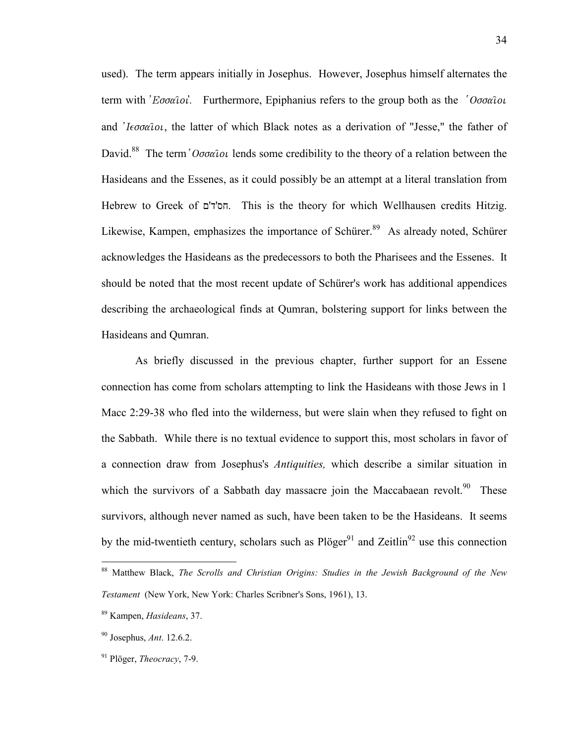used). The term appears initially in Josephus. However, Josephus himself alternates the term with *'Eooatol*'. Furthermore, Epiphanius refers to the group both as the '*Oooatol* and *I* $\epsilon \sigma \alpha \hat{i} \omega$ , the latter of which Black notes as a derivation of "Jesse," the father of David.<sup>88</sup> The term ' $O\sigma\sigma\alpha\hat{i} \sigma\iota$  lends some credibility to the theory of a relation between the Hasideans and the Essenes, as it could possibly be an attempt at a literal translation from Hebrew to Greek of חס'ד'ם . This is the theory for which Wellhausen credits Hitzig. Likewise, Kampen, emphasizes the importance of Schürer.<sup>89</sup> As already noted, Schürer acknowledges the Hasideans as the predecessors to both the Pharisees and the Essenes. It should be noted that the most recent update of Schürer's work has additional appendices describing the archaeological finds at Qumran, bolstering support for links between the Hasideans and Qumran.

 As briefly discussed in the previous chapter, further support for an Essene connection has come from scholars attempting to link the Hasideans with those Jews in 1 Macc 2:29-38 who fled into the wilderness, but were slain when they refused to fight on the Sabbath. While there is no textual evidence to support this, most scholars in favor of a connection draw from Josephus's *Antiquities,* which describe a similar situation in which the survivors of a Sabbath day massacre join the Maccabaean revolt.<sup>90</sup> These survivors, although never named as such, have been taken to be the Hasideans. It seems by the mid-twentieth century, scholars such as  $Pi\{\text{ager}^{91}\}$  and Zeitlin<sup>92</sup> use this connection

<sup>88</sup> Matthew Black, *The Scrolls and Christian Origins: Studies in the Jewish Background of the New Testament* (New York, New York: Charles Scribner's Sons, 1961), 13.

<sup>89</sup> Kampen, *Hasideans*, 37.

<sup>90</sup> Josephus, *Ant*. 12.6.2.

<sup>91</sup> Plöger, *Theocracy*, 7-9.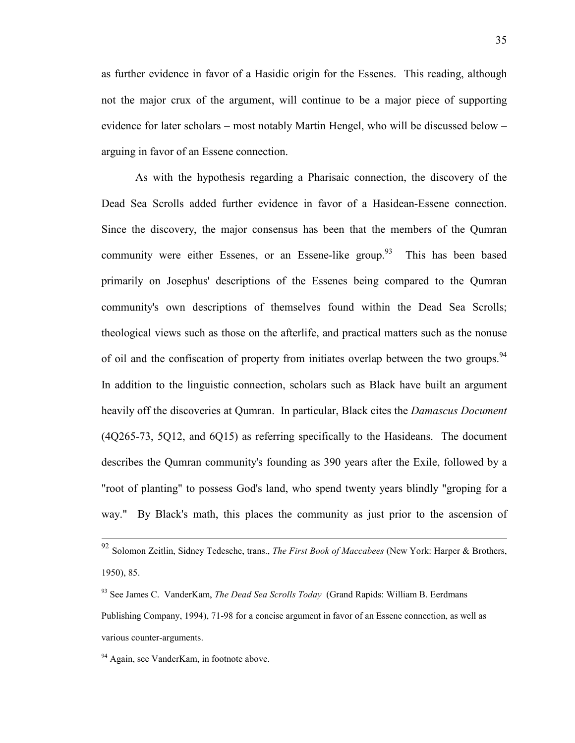as further evidence in favor of a Hasidic origin for the Essenes. This reading, although not the major crux of the argument, will continue to be a major piece of supporting evidence for later scholars – most notably Martin Hengel, who will be discussed below – arguing in favor of an Essene connection.

 As with the hypothesis regarding a Pharisaic connection, the discovery of the Dead Sea Scrolls added further evidence in favor of a Hasidean-Essene connection. Since the discovery, the major consensus has been that the members of the Qumran community were either Essenes, or an Essene-like group.<sup>93</sup> This has been based primarily on Josephus' descriptions of the Essenes being compared to the Qumran community's own descriptions of themselves found within the Dead Sea Scrolls; theological views such as those on the afterlife, and practical matters such as the nonuse of oil and the confiscation of property from initiates overlap between the two groups.<sup>94</sup> In addition to the linguistic connection, scholars such as Black have built an argument heavily off the discoveries at Qumran. In particular, Black cites the *Damascus Document* (4Q265-73, 5Q12, and 6Q15) as referring specifically to the Hasideans. The document describes the Qumran community's founding as 390 years after the Exile, followed by a "root of planting" to possess God's land, who spend twenty years blindly "groping for a way." By Black's math, this places the community as just prior to the ascension of

<sup>92</sup> Solomon Zeitlin, Sidney Tedesche, trans., *The First Book of Maccabees* (New York: Harper & Brothers, 1950), 85.

<sup>93</sup> See James C. VanderKam, *The Dead Sea Scrolls Today* (Grand Rapids: William B. Eerdmans Publishing Company, 1994), 71-98 for a concise argument in favor of an Essene connection, as well as various counter-arguments.

<sup>&</sup>lt;sup>94</sup> Again, see VanderKam, in footnote above.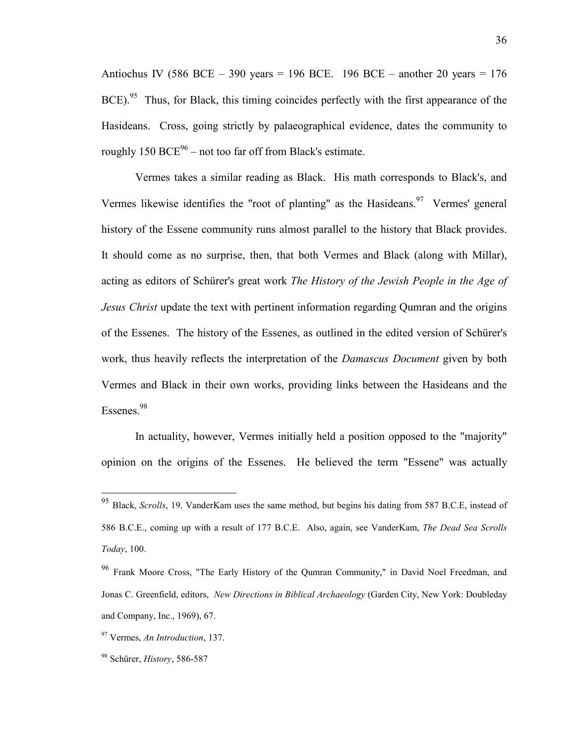Antiochus IV (586 BCE – 390 years = 196 BCE. 196 BCE – another 20 years = 176 BCE).<sup>95</sup> Thus, for Black, this timing coincides perfectly with the first appearance of the Hasideans. Cross, going strictly by palaeographical evidence, dates the community to roughly  $150 \text{ BCE}^{96}$  – not too far off from Black's estimate.

 Vermes takes a similar reading as Black. His math corresponds to Black's, and Vermes likewise identifies the "root of planting" as the Hasideans.<sup>97</sup> Vermes' general history of the Essene community runs almost parallel to the history that Black provides. It should come as no surprise, then, that both Vermes and Black (along with Millar), acting as editors of Schürer's great work *The History of the Jewish People in the Age of Jesus Christ* update the text with pertinent information regarding Qumran and the origins of the Essenes. The history of the Essenes, as outlined in the edited version of Schürer's work, thus heavily reflects the interpretation of the *Damascus Document* given by both Vermes and Black in their own works, providing links between the Hasideans and the Essenes.<sup>98</sup>

 In actuality, however, Vermes initially held a position opposed to the "majority" opinion on the origins of the Essenes. He believed the term "Essene" was actually

<sup>95</sup> Black, *Scrolls*, 19. VanderKam uses the same method, but begins his dating from 587 B.C.E, instead of 586 B.C.E., coming up with a result of 177 B.C.E. Also, again, see VanderKam, *The Dead Sea Scrolls Today*, 100.

<sup>&</sup>lt;sup>96</sup> Frank Moore Cross, "The Early History of the Qumran Community," in David Noel Freedman, and Jonas C. Greenfield, editors, *New Directions in Biblical Archaeology* (Garden City, New York: Doubleday and Company, Inc., 1969), 67.

<sup>97</sup> Vermes, *An Introduction*, 137.

<sup>98</sup> Schürer, *History*, 586-587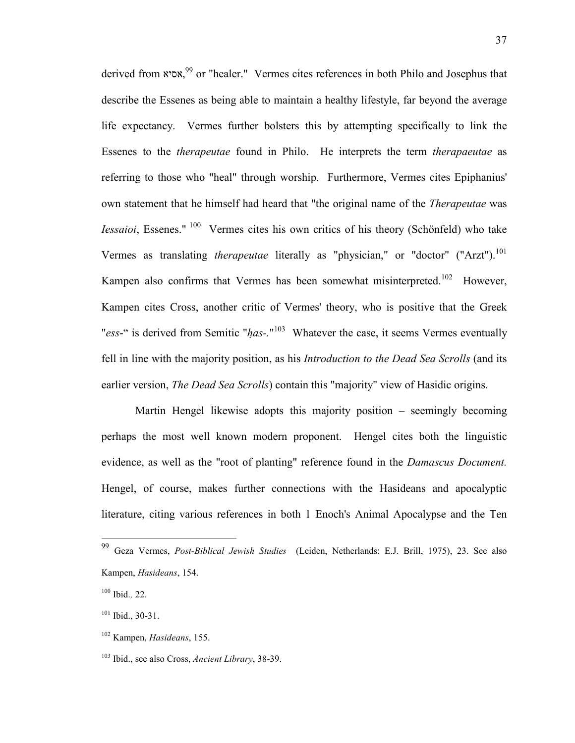derived from אסיא,<sup>99</sup> or "healer." Vermes cites references in both Philo and Josephus that describe the Essenes as being able to maintain a healthy lifestyle, far beyond the average life expectancy. Vermes further bolsters this by attempting specifically to link the Essenes to the *therapeutae* found in Philo. He interprets the term *therapaeutae* as referring to those who "heal" through worship. Furthermore, Vermes cites Epiphanius' own statement that he himself had heard that "the original name of the *Therapeutae* was *Iessaioi*, Essenes."<sup>100</sup> Vermes cites his own critics of his theory (Schönfeld) who take Vermes as translating *therapeutae* literally as "physician," or "doctor" ("Arzt").<sup>101</sup> Kampen also confirms that Vermes has been somewhat misinterpreted.<sup>102</sup> However, Kampen cites Cross, another critic of Vermes' theory, who is positive that the Greek "ess-" is derived from Semitic "has-."<sup>103</sup> Whatever the case, it seems Vermes eventually fell in line with the majority position, as his *Introduction to the Dead Sea Scrolls* (and its earlier version, *The Dead Sea Scrolls*) contain this "majority" view of Hasidic origins.

 Martin Hengel likewise adopts this majority position – seemingly becoming perhaps the most well known modern proponent. Hengel cites both the linguistic evidence, as well as the "root of planting" reference found in the *Damascus Document.*  Hengel, of course, makes further connections with the Hasideans and apocalyptic literature, citing various references in both 1 Enoch's Animal Apocalypse and the Ten

<sup>99</sup> Geza Vermes, *Post-Biblical Jewish Studies* (Leiden, Netherlands: E.J. Brill, 1975), 23. See also Kampen, *Hasideans*, 154.

<sup>100</sup> Ibid.*,* 22.

 $101$  Ibid., 30-31.

<sup>102</sup> Kampen, *Hasideans*, 155.

<sup>103</sup> Ibid., see also Cross, *Ancient Library*, 38-39.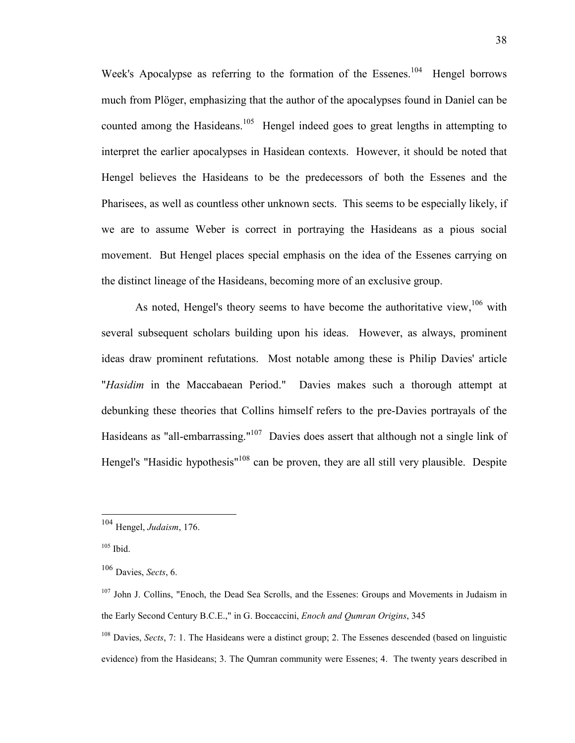Week's Apocalypse as referring to the formation of the Essenes.<sup>104</sup> Hengel borrows much from Plöger, emphasizing that the author of the apocalypses found in Daniel can be counted among the Hasideans.<sup>105</sup> Hengel indeed goes to great lengths in attempting to interpret the earlier apocalypses in Hasidean contexts. However, it should be noted that Hengel believes the Hasideans to be the predecessors of both the Essenes and the Pharisees, as well as countless other unknown sects. This seems to be especially likely, if we are to assume Weber is correct in portraying the Hasideans as a pious social movement. But Hengel places special emphasis on the idea of the Essenes carrying on the distinct lineage of the Hasideans, becoming more of an exclusive group.

As noted, Hengel's theory seems to have become the authoritative view,  $106$  with several subsequent scholars building upon his ideas. However, as always, prominent ideas draw prominent refutations. Most notable among these is Philip Davies' article "*Hasidim* in the Maccabaean Period." Davies makes such a thorough attempt at debunking these theories that Collins himself refers to the pre-Davies portrayals of the Hasideans as "all-embarrassing."<sup>107</sup> Davies does assert that although not a single link of Hengel's "Hasidic hypothesis"<sup>108</sup> can be proven, they are all still very plausible. Despite

<sup>104</sup> Hengel, *Judaism*, 176.

 $105$  Ibid.

<sup>106</sup> Davies, *Sects*, 6.

<sup>&</sup>lt;sup>107</sup> John J. Collins, "Enoch, the Dead Sea Scrolls, and the Essenes: Groups and Movements in Judaism in the Early Second Century B.C.E.," in G. Boccaccini, *Enoch and Qumran Origins*, 345

<sup>108</sup> Davies, *Sects*, 7: 1. The Hasideans were a distinct group; 2. The Essenes descended (based on linguistic evidence) from the Hasideans; 3. The Qumran community were Essenes; 4. The twenty years described in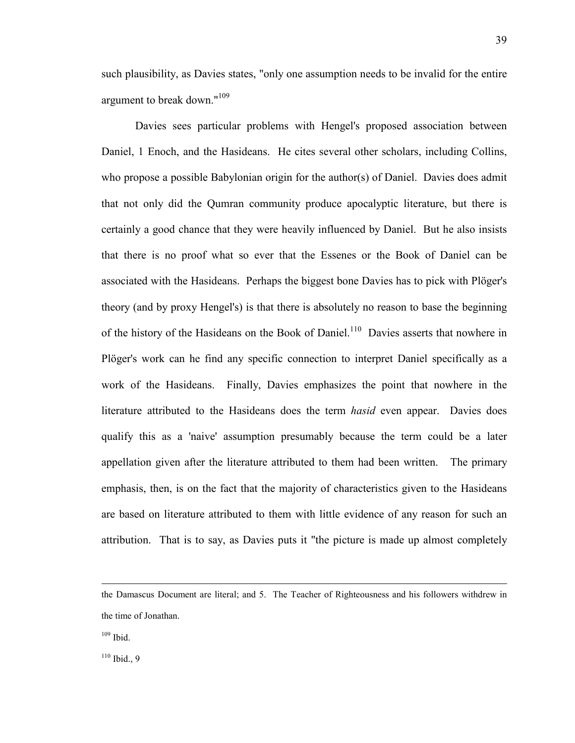such plausibility, as Davies states, "only one assumption needs to be invalid for the entire argument to break down."<sup>109</sup>

 Davies sees particular problems with Hengel's proposed association between Daniel, 1 Enoch, and the Hasideans. He cites several other scholars, including Collins, who propose a possible Babylonian origin for the author(s) of Daniel. Davies does admit that not only did the Qumran community produce apocalyptic literature, but there is certainly a good chance that they were heavily influenced by Daniel. But he also insists that there is no proof what so ever that the Essenes or the Book of Daniel can be associated with the Hasideans. Perhaps the biggest bone Davies has to pick with Plöger's theory (and by proxy Hengel's) is that there is absolutely no reason to base the beginning of the history of the Hasideans on the Book of Daniel.<sup>110</sup> Davies asserts that nowhere in Plöger's work can he find any specific connection to interpret Daniel specifically as a work of the Hasideans. Finally, Davies emphasizes the point that nowhere in the literature attributed to the Hasideans does the term *hasid* even appear. Davies does qualify this as a 'naive' assumption presumably because the term could be a later appellation given after the literature attributed to them had been written. The primary emphasis, then, is on the fact that the majority of characteristics given to the Hasideans are based on literature attributed to them with little evidence of any reason for such an attribution. That is to say, as Davies puts it "the picture is made up almost completely

 $109$  Ibid.

 $\overline{a}$ 

 $110$  Ibid., 9

the Damascus Document are literal; and 5. The Teacher of Righteousness and his followers withdrew in the time of Jonathan.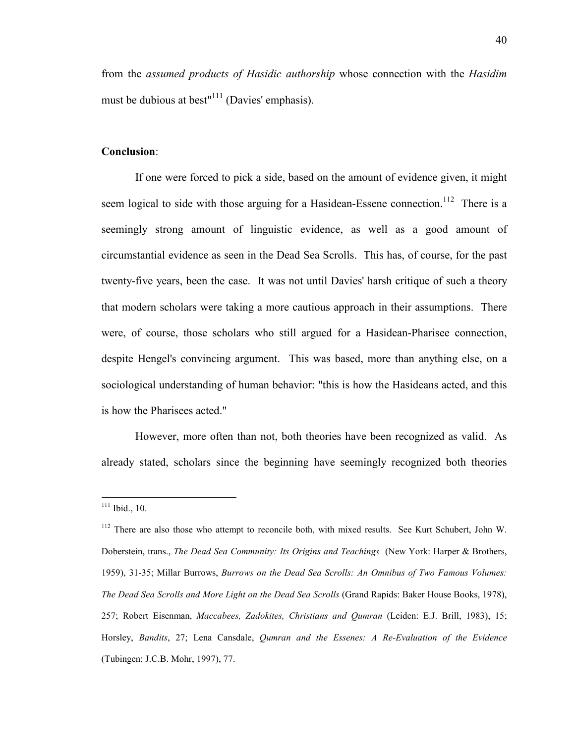from the *assumed products of Hasidic authorship* whose connection with the *Hasidim* must be dubious at best"<sup> $111$ </sup> (Davies' emphasis).

### **Conclusion**:

 If one were forced to pick a side, based on the amount of evidence given, it might seem logical to side with those arguing for a Hasidean-Essene connection.<sup>112</sup> There is a seemingly strong amount of linguistic evidence, as well as a good amount of circumstantial evidence as seen in the Dead Sea Scrolls. This has, of course, for the past twenty-five years, been the case. It was not until Davies' harsh critique of such a theory that modern scholars were taking a more cautious approach in their assumptions. There were, of course, those scholars who still argued for a Hasidean-Pharisee connection, despite Hengel's convincing argument. This was based, more than anything else, on a sociological understanding of human behavior: "this is how the Hasideans acted, and this is how the Pharisees acted."

 However, more often than not, both theories have been recognized as valid. As already stated, scholars since the beginning have seemingly recognized both theories

 $111$  Ibid., 10.

<sup>&</sup>lt;sup>112</sup> There are also those who attempt to reconcile both, with mixed results. See Kurt Schubert, John W. Doberstein, trans., *The Dead Sea Community: Its Origins and Teachings* (New York: Harper & Brothers, 1959), 31-35; Millar Burrows, *Burrows on the Dead Sea Scrolls: An Omnibus of Two Famous Volumes: The Dead Sea Scrolls and More Light on the Dead Sea Scrolls* (Grand Rapids: Baker House Books, 1978), 257; Robert Eisenman, *Maccabees, Zadokites, Christians and Qumran* (Leiden: E.J. Brill, 1983), 15; Horsley, *Bandits*, 27; Lena Cansdale, *Qumran and the Essenes: A Re-Evaluation of the Evidence*  (Tubingen: J.C.B. Mohr, 1997), 77.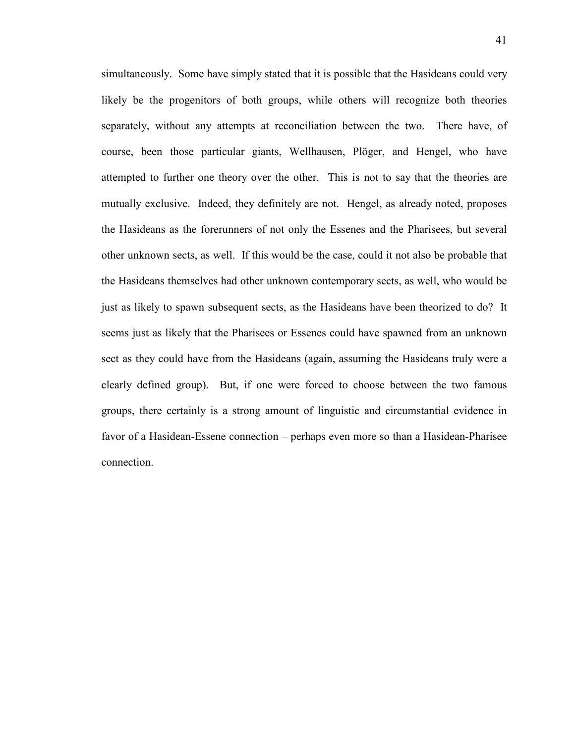simultaneously. Some have simply stated that it is possible that the Hasideans could very likely be the progenitors of both groups, while others will recognize both theories separately, without any attempts at reconciliation between the two. There have, of course, been those particular giants, Wellhausen, Plöger, and Hengel, who have attempted to further one theory over the other. This is not to say that the theories are mutually exclusive. Indeed, they definitely are not. Hengel, as already noted, proposes the Hasideans as the forerunners of not only the Essenes and the Pharisees, but several other unknown sects, as well. If this would be the case, could it not also be probable that the Hasideans themselves had other unknown contemporary sects, as well, who would be just as likely to spawn subsequent sects, as the Hasideans have been theorized to do? It seems just as likely that the Pharisees or Essenes could have spawned from an unknown sect as they could have from the Hasideans (again, assuming the Hasideans truly were a clearly defined group). But, if one were forced to choose between the two famous groups, there certainly is a strong amount of linguistic and circumstantial evidence in favor of a Hasidean-Essene connection – perhaps even more so than a Hasidean-Pharisee connection.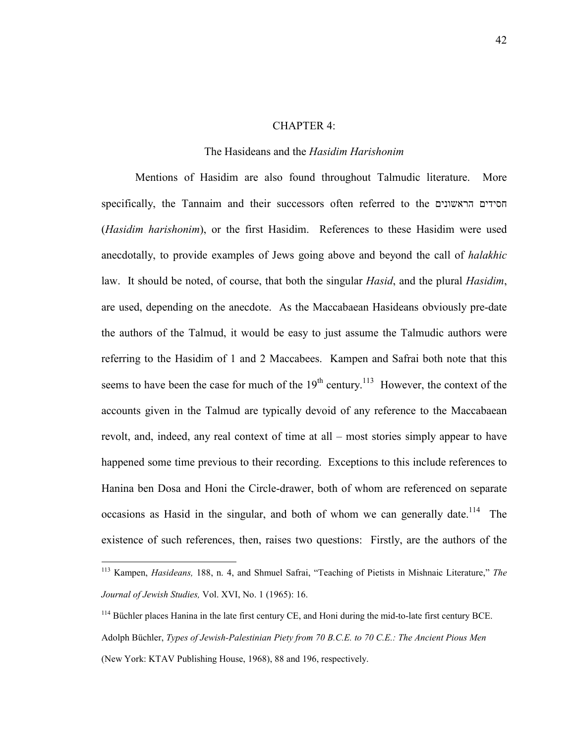#### CHAPTER 4:

#### The Hasideans and the *Hasidim Harishonim*

 Mentions of Hasidim are also found throughout Talmudic literature. More specifically, the Tannaim and their successors often referred to the הראשוני חסידים ם (*Hasidim harishonim*), or the first Hasidim. References to these Hasidim were used anecdotally, to provide examples of Jews going above and beyond the call of *halakhic* law. It should be noted, of course, that both the singular *Hasid*, and the plural *Hasidim*, are used, depending on the anecdote. As the Maccabaean Hasideans obviously pre-date the authors of the Talmud, it would be easy to just assume the Talmudic authors were referring to the Hasidim of 1 and 2 Maccabees. Kampen and Safrai both note that this seems to have been the case for much of the  $19<sup>th</sup>$  century.<sup>113</sup> However, the context of the accounts given in the Talmud are typically devoid of any reference to the Maccabaean revolt, and, indeed, any real context of time at all – most stories simply appear to have happened some time previous to their recording. Exceptions to this include references to Hanina ben Dosa and Honi the Circle-drawer, both of whom are referenced on separate occasions as Hasid in the singular, and both of whom we can generally date.<sup>114</sup> The existence of such references, then, raises two questions: Firstly, are the authors of the

<sup>113</sup> Kampen, *Hasideans,* 188, n. 4, and Shmuel Safrai, "Teaching of Pietists in Mishnaic Literature," *The Journal of Jewish Studies,* Vol. XVI, No. 1 (1965): 16.

<sup>&</sup>lt;sup>114</sup> Büchler places Hanina in the late first century CE, and Honi during the mid-to-late first century BCE. Adolph Büchler, *Types of Jewish-Palestinian Piety from 70 B.C.E. to 70 C.E.: The Ancient Pious Men* (New York: KTAV Publishing House, 1968), 88 and 196, respectively.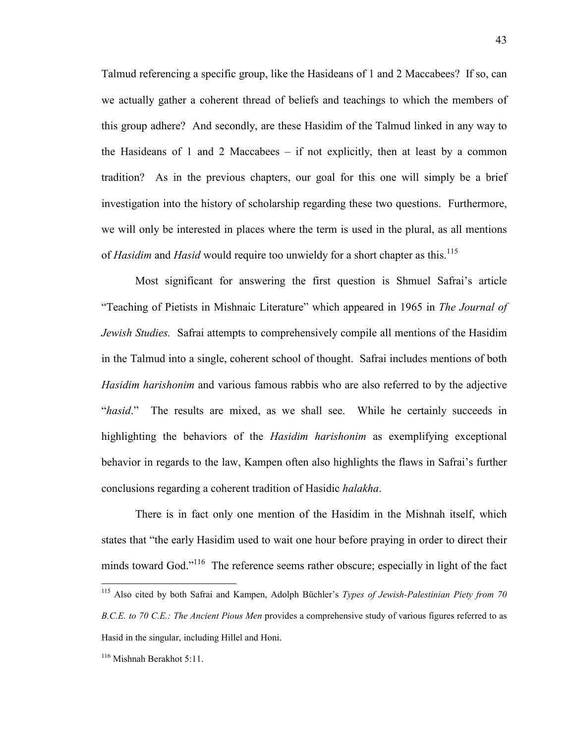Talmud referencing a specific group, like the Hasideans of 1 and 2 Maccabees? If so, can we actually gather a coherent thread of beliefs and teachings to which the members of this group adhere? And secondly, are these Hasidim of the Talmud linked in any way to the Hasideans of 1 and 2 Maccabees  $-$  if not explicitly, then at least by a common tradition? As in the previous chapters, our goal for this one will simply be a brief investigation into the history of scholarship regarding these two questions. Furthermore, we will only be interested in places where the term is used in the plural, as all mentions of *Hasidim* and *Hasid* would require too unwieldy for a short chapter as this.<sup>115</sup>

 Most significant for answering the first question is Shmuel Safrai's article "Teaching of Pietists in Mishnaic Literature" which appeared in 1965 in *The Journal of Jewish Studies.* Safrai attempts to comprehensively compile all mentions of the Hasidim in the Talmud into a single, coherent school of thought. Safrai includes mentions of both *Hasidim harishonim* and various famous rabbis who are also referred to by the adjective "*hasid*." The results are mixed, as we shall see. While he certainly succeeds in highlighting the behaviors of the *Hasidim harishonim* as exemplifying exceptional behavior in regards to the law, Kampen often also highlights the flaws in Safrai's further conclusions regarding a coherent tradition of Hasidic *halakha*.

There is in fact only one mention of the Hasidim in the Mishnah itself, which states that "the early Hasidim used to wait one hour before praying in order to direct their minds toward God."<sup>116</sup> The reference seems rather obscure; especially in light of the fact

<sup>115</sup> Also cited by both Safrai and Kampen, Adolph Büchler's *Types of Jewish-Palestinian Piety from 70 B.C.E. to 70 C.E.: The Ancient Pious Men* provides a comprehensive study of various figures referred to as Hasid in the singular, including Hillel and Honi.

<sup>116</sup> Mishnah Berakhot 5:11.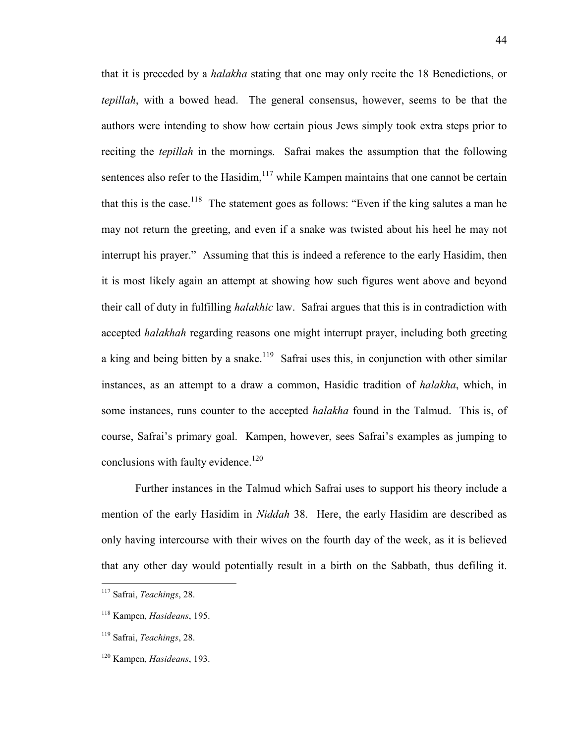that it is preceded by a *halakha* stating that one may only recite the 18 Benedictions, or *tepillah*, with a bowed head. The general consensus, however, seems to be that the authors were intending to show how certain pious Jews simply took extra steps prior to reciting the *tepillah* in the mornings. Safrai makes the assumption that the following sentences also refer to the Hasidim, $117$  while Kampen maintains that one cannot be certain that this is the case.<sup>118</sup> The statement goes as follows: "Even if the king salutes a man he may not return the greeting, and even if a snake was twisted about his heel he may not interrupt his prayer." Assuming that this is indeed a reference to the early Hasidim, then it is most likely again an attempt at showing how such figures went above and beyond their call of duty in fulfilling *halakhic* law. Safrai argues that this is in contradiction with accepted *halakhah* regarding reasons one might interrupt prayer, including both greeting a king and being bitten by a snake.<sup>119</sup> Safrai uses this, in conjunction with other similar instances, as an attempt to a draw a common, Hasidic tradition of *halakha*, which, in some instances, runs counter to the accepted *halakha* found in the Talmud. This is, of course, Safrai's primary goal. Kampen, however, sees Safrai's examples as jumping to conclusions with faulty evidence.<sup>120</sup>

 Further instances in the Talmud which Safrai uses to support his theory include a mention of the early Hasidim in *Niddah* 38. Here, the early Hasidim are described as only having intercourse with their wives on the fourth day of the week, as it is believed that any other day would potentially result in a birth on the Sabbath, thus defiling it.

<sup>117</sup> Safrai, *Teachings*, 28.

<sup>118</sup> Kampen, *Hasideans*, 195.

<sup>119</sup> Safrai, *Teachings*, 28.

<sup>120</sup> Kampen, *Hasideans*, 193.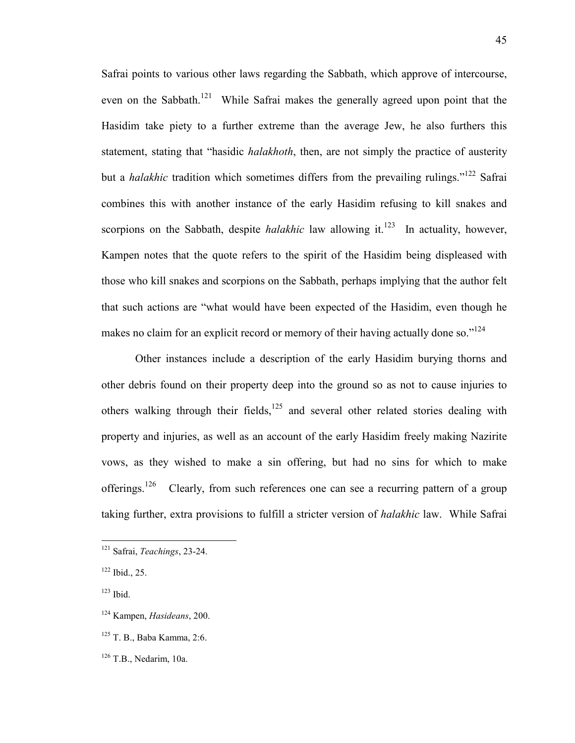Safrai points to various other laws regarding the Sabbath, which approve of intercourse, even on the Sabbath.<sup>121</sup> While Safrai makes the generally agreed upon point that the Hasidim take piety to a further extreme than the average Jew, he also furthers this statement, stating that "hasidic *halakhoth*, then, are not simply the practice of austerity but a *halakhic* tradition which sometimes differs from the prevailing rulings."<sup>122</sup> Safrai combines this with another instance of the early Hasidim refusing to kill snakes and scorpions on the Sabbath, despite *halakhic* law allowing it.<sup>123</sup> In actuality, however, Kampen notes that the quote refers to the spirit of the Hasidim being displeased with those who kill snakes and scorpions on the Sabbath, perhaps implying that the author felt that such actions are "what would have been expected of the Hasidim, even though he makes no claim for an explicit record or memory of their having actually done so." $124$ 

Other instances include a description of the early Hasidim burying thorns and other debris found on their property deep into the ground so as not to cause injuries to others walking through their fields, $125$  and several other related stories dealing with property and injuries, as well as an account of the early Hasidim freely making Nazirite vows, as they wished to make a sin offering, but had no sins for which to make offerings.<sup>126</sup> Clearly, from such references one can see a recurring pattern of a group taking further, extra provisions to fulfill a stricter version of *halakhic* law. While Safrai

<sup>121</sup> Safrai, *Teachings*, 23-24.

<sup>122</sup> Ibid., 25.

<sup>123</sup> Ibid.

<sup>124</sup> Kampen, *Hasideans*, 200.

<sup>125</sup> T. B., Baba Kamma, 2:6.

 $126$  T.B., Nedarim, 10a.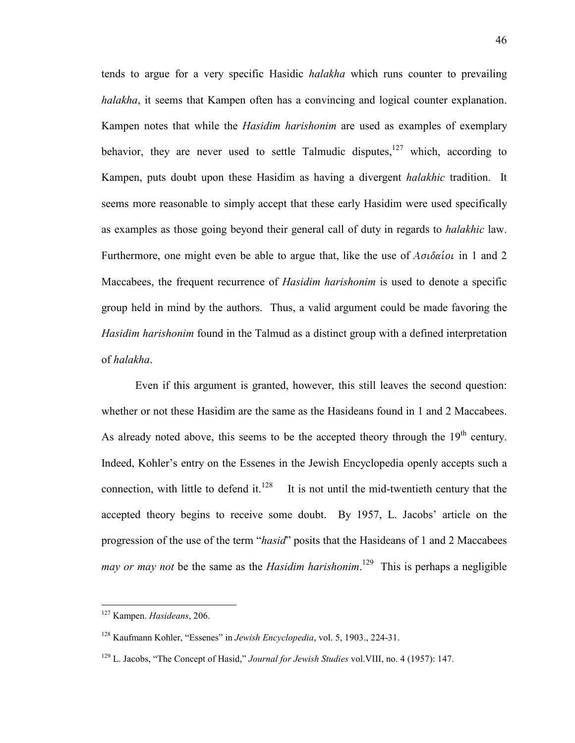tends to argue for a very specific Hasidic *halakha* which runs counter to prevailing *halakha*, it seems that Kampen often has a convincing and logical counter explanation. Kampen notes that while the *Hasidim harishonim* are used as examples of exemplary behavior, they are never used to settle Talmudic disputes,  $127$  which, according to Kampen, puts doubt upon these Hasidim as having a divergent *halakhic* tradition. It seems more reasonable to simply accept that these early Hasidim were used specifically as examples as those going beyond their general call of duty in regards to *halakhic* law. Furthermore, one might even be able to argue that, like the use of  $A\sigma\phi\alpha\omega$  in 1 and 2 Maccabees, the frequent recurrence of *Hasidim harishonim* is used to denote a specific group held in mind by the authors. Thus, a valid argument could be made favoring the *Hasidim harishonim* found in the Talmud as a distinct group with a defined interpretation of *halakha*.

Even if this argument is granted, however, this still leaves the second question: whether or not these Hasidim are the same as the Hasideans found in 1 and 2 Maccabees. As already noted above, this seems to be the accepted theory through the  $19<sup>th</sup>$  century. Indeed, Kohler's entry on the Essenes in the Jewish Encyclopedia openly accepts such a connection, with little to defend it. $128$  It is not until the mid-twentieth century that the accepted theory begins to receive some doubt. By 1957, L. Jacobs' article on the progression of the use of the term "*hasid*" posits that the Hasideans of 1 and 2 Maccabees *may or may not* be the same as the *Hasidim harishonim*. <sup>129</sup> This is perhaps a negligible

<sup>127</sup> Kampen. *Hasideans*, 206.

<sup>128</sup> Kaufmann Kohler, "Essenes" in *Jewish Encyclopedia*, vol. 5, 1903., 224-31.

<sup>129</sup> L. Jacobs, "The Concept of Hasid," *Journal for Jewish Studies* vol.VIII, no. 4 (1957): 147.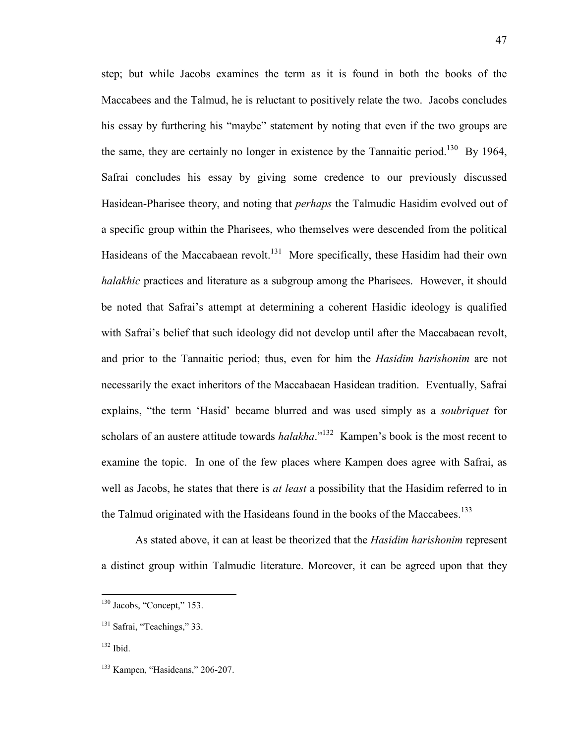step; but while Jacobs examines the term as it is found in both the books of the Maccabees and the Talmud, he is reluctant to positively relate the two. Jacobs concludes his essay by furthering his "maybe" statement by noting that even if the two groups are the same, they are certainly no longer in existence by the Tannaitic period.<sup>130</sup> By 1964, Safrai concludes his essay by giving some credence to our previously discussed Hasidean-Pharisee theory, and noting that *perhaps* the Talmudic Hasidim evolved out of a specific group within the Pharisees, who themselves were descended from the political Hasideans of the Maccabaean revolt.<sup>131</sup> More specifically, these Hasidim had their own *halakhic* practices and literature as a subgroup among the Pharisees. However, it should be noted that Safrai's attempt at determining a coherent Hasidic ideology is qualified with Safrai's belief that such ideology did not develop until after the Maccabaean revolt, and prior to the Tannaitic period; thus, even for him the *Hasidim harishonim* are not necessarily the exact inheritors of the Maccabaean Hasidean tradition. Eventually, Safrai explains, "the term 'Hasid' became blurred and was used simply as a *soubriquet* for scholars of an austere attitude towards *halakha*."<sup>132</sup> Kampen's book is the most recent to examine the topic. In one of the few places where Kampen does agree with Safrai, as well as Jacobs, he states that there is *at least* a possibility that the Hasidim referred to in the Talmud originated with the Hasideans found in the books of the Maccabees.<sup>133</sup>

As stated above, it can at least be theorized that the *Hasidim harishonim* represent a distinct group within Talmudic literature. Moreover, it can be agreed upon that they

<sup>&</sup>lt;sup>130</sup> Jacobs, "Concept," 153.

<sup>&</sup>lt;sup>131</sup> Safrai, "Teachings," 33.

 $132$  Ibid.

<sup>133</sup> Kampen, "Hasideans," 206-207.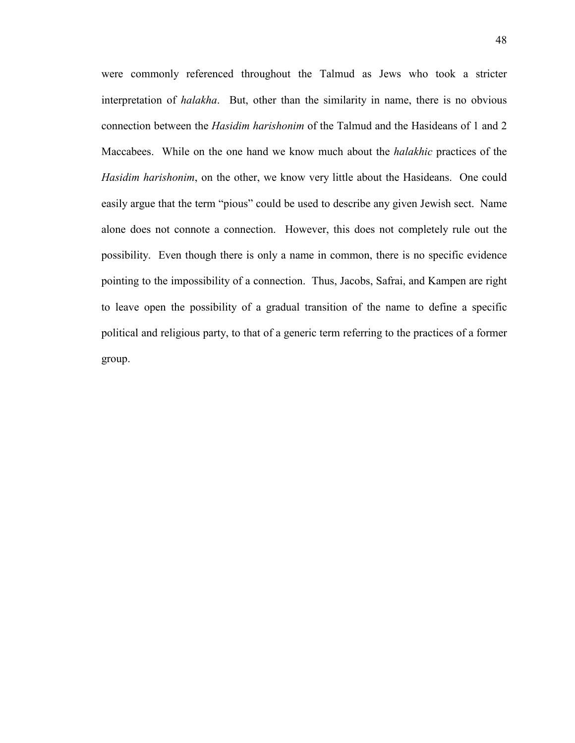were commonly referenced throughout the Talmud as Jews who took a stricter interpretation of *halakha*. But, other than the similarity in name, there is no obvious connection between the *Hasidim harishonim* of the Talmud and the Hasideans of 1 and 2 Maccabees. While on the one hand we know much about the *halakhic* practices of the *Hasidim harishonim*, on the other, we know very little about the Hasideans. One could easily argue that the term "pious" could be used to describe any given Jewish sect. Name alone does not connote a connection. However, this does not completely rule out the possibility. Even though there is only a name in common, there is no specific evidence pointing to the impossibility of a connection. Thus, Jacobs, Safrai, and Kampen are right to leave open the possibility of a gradual transition of the name to define a specific political and religious party, to that of a generic term referring to the practices of a former group.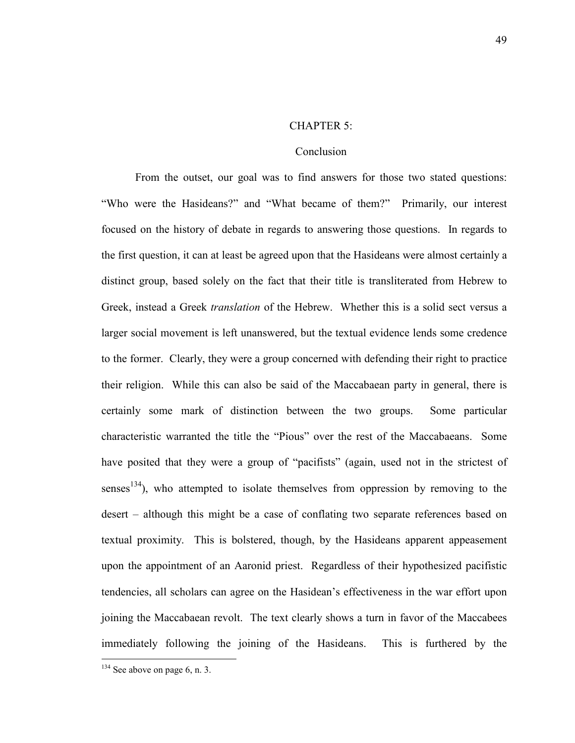#### CHAPTER 5:

### Conclusion

 From the outset, our goal was to find answers for those two stated questions: "Who were the Hasideans?" and "What became of them?" Primarily, our interest focused on the history of debate in regards to answering those questions. In regards to the first question, it can at least be agreed upon that the Hasideans were almost certainly a distinct group, based solely on the fact that their title is transliterated from Hebrew to Greek, instead a Greek *translation* of the Hebrew. Whether this is a solid sect versus a larger social movement is left unanswered, but the textual evidence lends some credence to the former. Clearly, they were a group concerned with defending their right to practice their religion. While this can also be said of the Maccabaean party in general, there is certainly some mark of distinction between the two groups. Some particular characteristic warranted the title the "Pious" over the rest of the Maccabaeans. Some have posited that they were a group of "pacifists" (again, used not in the strictest of senses<sup>134</sup>), who attempted to isolate themselves from oppression by removing to the desert – although this might be a case of conflating two separate references based on textual proximity. This is bolstered, though, by the Hasideans apparent appeasement upon the appointment of an Aaronid priest. Regardless of their hypothesized pacifistic tendencies, all scholars can agree on the Hasidean's effectiveness in the war effort upon joining the Maccabaean revolt. The text clearly shows a turn in favor of the Maccabees immediately following the joining of the Hasideans. This is furthered by the

 $134$  See above on page 6, n. 3.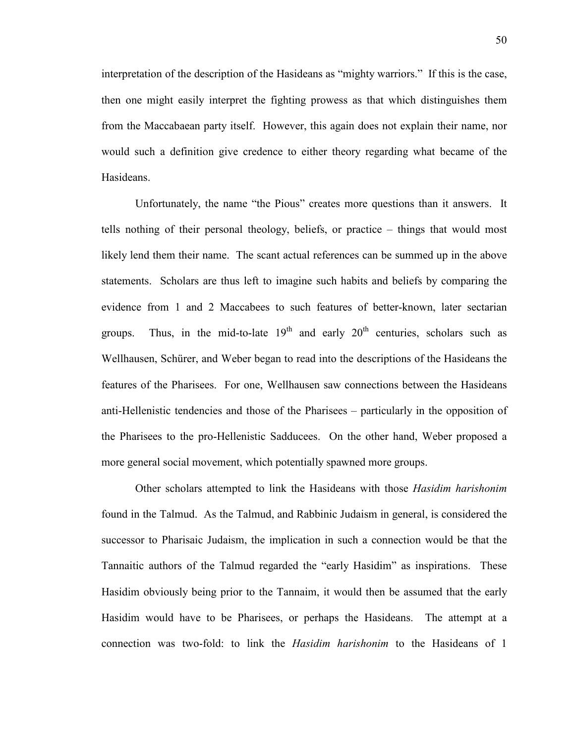interpretation of the description of the Hasideans as "mighty warriors." If this is the case, then one might easily interpret the fighting prowess as that which distinguishes them from the Maccabaean party itself. However, this again does not explain their name, nor would such a definition give credence to either theory regarding what became of the Hasideans.

 Unfortunately, the name "the Pious" creates more questions than it answers. It tells nothing of their personal theology, beliefs, or practice – things that would most likely lend them their name. The scant actual references can be summed up in the above statements. Scholars are thus left to imagine such habits and beliefs by comparing the evidence from 1 and 2 Maccabees to such features of better-known, later sectarian groups. Thus, in the mid-to-late  $19<sup>th</sup>$  and early  $20<sup>th</sup>$  centuries, scholars such as Wellhausen, Schürer, and Weber began to read into the descriptions of the Hasideans the features of the Pharisees. For one, Wellhausen saw connections between the Hasideans anti-Hellenistic tendencies and those of the Pharisees – particularly in the opposition of the Pharisees to the pro-Hellenistic Sadducees. On the other hand, Weber proposed a more general social movement, which potentially spawned more groups.

 Other scholars attempted to link the Hasideans with those *Hasidim harishonim* found in the Talmud. As the Talmud, and Rabbinic Judaism in general, is considered the successor to Pharisaic Judaism, the implication in such a connection would be that the Tannaitic authors of the Talmud regarded the "early Hasidim" as inspirations. These Hasidim obviously being prior to the Tannaim, it would then be assumed that the early Hasidim would have to be Pharisees, or perhaps the Hasideans. The attempt at a connection was two-fold: to link the *Hasidim harishonim* to the Hasideans of 1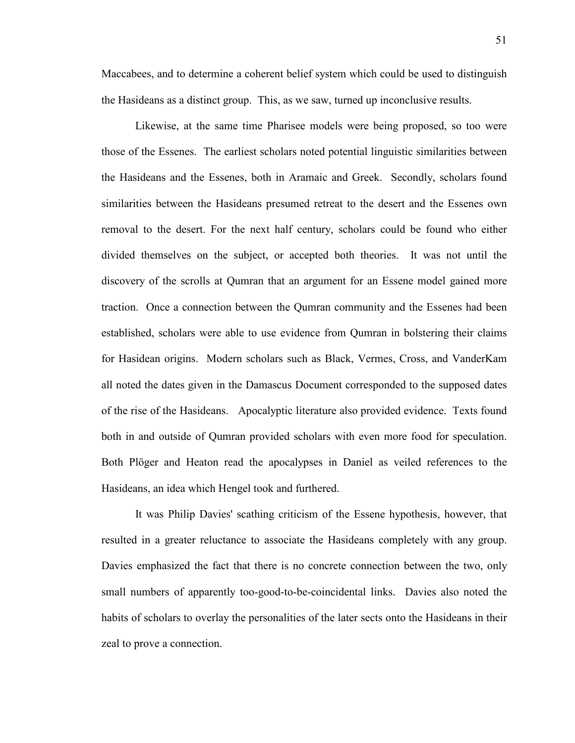Maccabees, and to determine a coherent belief system which could be used to distinguish the Hasideans as a distinct group. This, as we saw, turned up inconclusive results.

Likewise, at the same time Pharisee models were being proposed, so too were those of the Essenes. The earliest scholars noted potential linguistic similarities between the Hasideans and the Essenes, both in Aramaic and Greek. Secondly, scholars found similarities between the Hasideans presumed retreat to the desert and the Essenes own removal to the desert. For the next half century, scholars could be found who either divided themselves on the subject, or accepted both theories. It was not until the discovery of the scrolls at Qumran that an argument for an Essene model gained more traction. Once a connection between the Qumran community and the Essenes had been established, scholars were able to use evidence from Qumran in bolstering their claims for Hasidean origins. Modern scholars such as Black, Vermes, Cross, and VanderKam all noted the dates given in the Damascus Document corresponded to the supposed dates of the rise of the Hasideans. Apocalyptic literature also provided evidence. Texts found both in and outside of Qumran provided scholars with even more food for speculation. Both Plöger and Heaton read the apocalypses in Daniel as veiled references to the Hasideans, an idea which Hengel took and furthered.

 It was Philip Davies' scathing criticism of the Essene hypothesis, however, that resulted in a greater reluctance to associate the Hasideans completely with any group. Davies emphasized the fact that there is no concrete connection between the two, only small numbers of apparently too-good-to-be-coincidental links. Davies also noted the habits of scholars to overlay the personalities of the later sects onto the Hasideans in their zeal to prove a connection.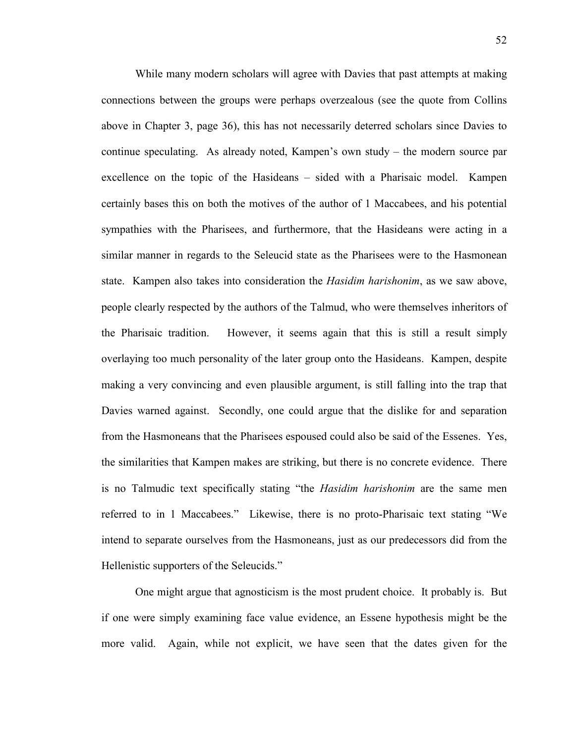While many modern scholars will agree with Davies that past attempts at making connections between the groups were perhaps overzealous (see the quote from Collins above in Chapter 3, page 36), this has not necessarily deterred scholars since Davies to continue speculating. As already noted, Kampen's own study – the modern source par excellence on the topic of the Hasideans – sided with a Pharisaic model. Kampen certainly bases this on both the motives of the author of 1 Maccabees, and his potential sympathies with the Pharisees, and furthermore, that the Hasideans were acting in a similar manner in regards to the Seleucid state as the Pharisees were to the Hasmonean state. Kampen also takes into consideration the *Hasidim harishonim*, as we saw above, people clearly respected by the authors of the Talmud, who were themselves inheritors of the Pharisaic tradition. However, it seems again that this is still a result simply overlaying too much personality of the later group onto the Hasideans. Kampen, despite making a very convincing and even plausible argument, is still falling into the trap that Davies warned against. Secondly, one could argue that the dislike for and separation from the Hasmoneans that the Pharisees espoused could also be said of the Essenes. Yes, the similarities that Kampen makes are striking, but there is no concrete evidence. There is no Talmudic text specifically stating "the *Hasidim harishonim* are the same men referred to in 1 Maccabees." Likewise, there is no proto-Pharisaic text stating "We intend to separate ourselves from the Hasmoneans, just as our predecessors did from the Hellenistic supporters of the Seleucids."

One might argue that agnosticism is the most prudent choice. It probably is. But if one were simply examining face value evidence, an Essene hypothesis might be the more valid. Again, while not explicit, we have seen that the dates given for the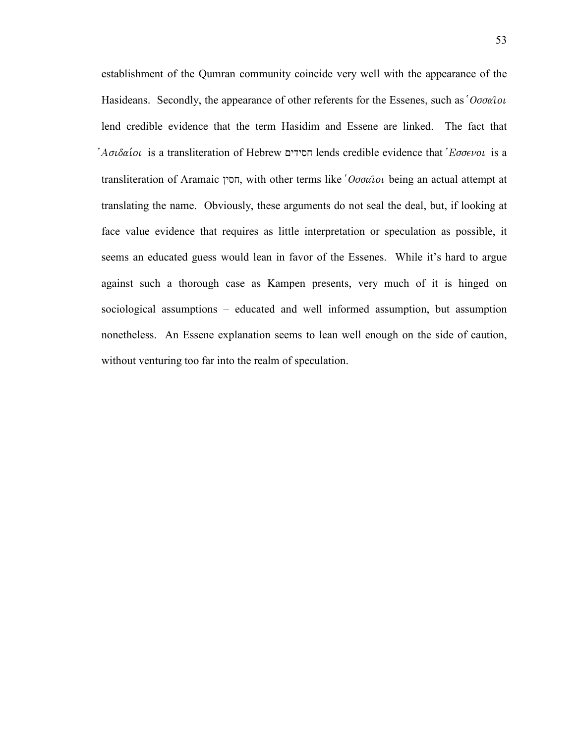establishment of the Qumran community coincide very well with the appearance of the Hasideans. Secondly, the appearance of other referents for the Essenes, such as ' $O\sigma\sigma\alpha\hat{i}o\iota$ lend credible evidence that the term Hasidim and Essene are linked. The fact that 'Aσιδαίοι is a transliteration of Hebrew חסידים lends credible evidence that 'Εσσενοι is a transliteration of Aramaic חסין, with other terms like ' $O$ σσαι being an actual attempt at translating the name. Obviously, these arguments do not seal the deal, but, if looking at face value evidence that requires as little interpretation or speculation as possible, it seems an educated guess would lean in favor of the Essenes. While it's hard to argue against such a thorough case as Kampen presents, very much of it is hinged on sociological assumptions – educated and well informed assumption, but assumption nonetheless. An Essene explanation seems to lean well enough on the side of caution, without venturing too far into the realm of speculation.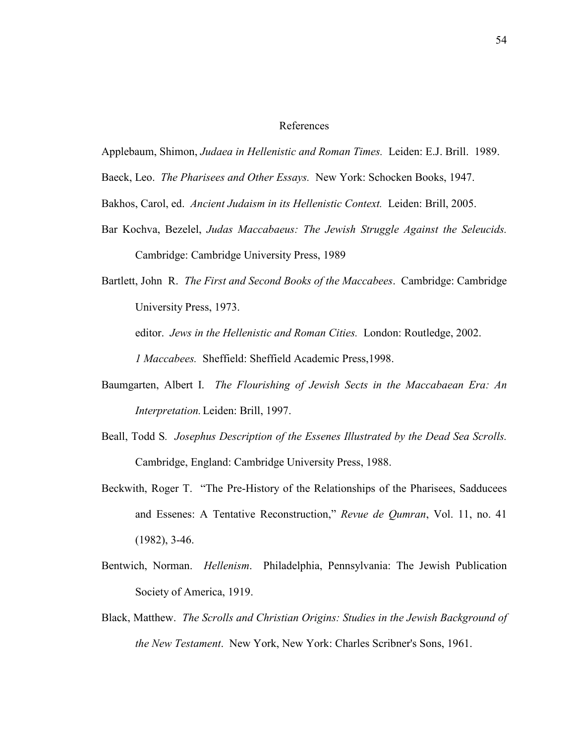#### References

Applebaum, Shimon, *Judaea in Hellenistic and Roman Times.* Leiden: E.J. Brill. 1989.

Baeck, Leo. *The Pharisees and Other Essays.* New York: Schocken Books, 1947.

Bakhos, Carol, ed. *Ancient Judaism in its Hellenistic Context.* Leiden: Brill, 2005.

- Bar Kochva, Bezelel, *Judas Maccabaeus: The Jewish Struggle Against the Seleucids.* Cambridge: Cambridge University Press, 1989
- Bartlett, John R. *The First and Second Books of the Maccabees*. Cambridge: Cambridge University Press, 1973. editor. *Jews in the Hellenistic and Roman Cities.* London: Routledge, 2002. *1 Maccabees.* Sheffield: Sheffield Academic Press,1998.
- Baumgarten, Albert I. *The Flourishing of Jewish Sects in the Maccabaean Era: An Interpretation.* Leiden: Brill, 1997.
- Beall, Todd S*. Josephus Description of the Essenes Illustrated by the Dead Sea Scrolls.* Cambridge, England: Cambridge University Press, 1988.
- Beckwith, Roger T. "The Pre-History of the Relationships of the Pharisees, Sadducees and Essenes: A Tentative Reconstruction," *Revue de Qumran*, Vol. 11, no. 41 (1982), 3-46.
- Bentwich, Norman. *Hellenism*. Philadelphia, Pennsylvania: The Jewish Publication Society of America, 1919.
- Black, Matthew. *The Scrolls and Christian Origins: Studies in the Jewish Background of the New Testament*. New York, New York: Charles Scribner's Sons, 1961.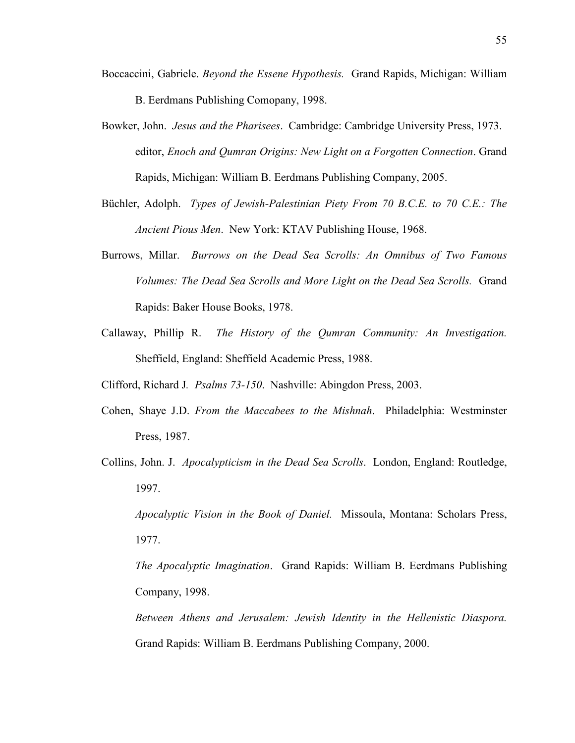- Boccaccini, Gabriele. *Beyond the Essene Hypothesis.* Grand Rapids, Michigan: William B. Eerdmans Publishing Comopany, 1998.
- Bowker, John. *Jesus and the Pharisees*. Cambridge: Cambridge University Press, 1973. editor, *Enoch and Qumran Origins: New Light on a Forgotten Connection*. Grand Rapids, Michigan: William B. Eerdmans Publishing Company, 2005.
- Büchler, Adolph. *Types of Jewish-Palestinian Piety From 70 B.C.E. to 70 C.E.: The Ancient Pious Men*. New York: KTAV Publishing House, 1968.
- Burrows, Millar. *Burrows on the Dead Sea Scrolls: An Omnibus of Two Famous Volumes: The Dead Sea Scrolls and More Light on the Dead Sea Scrolls.* Grand Rapids: Baker House Books, 1978.
- Callaway, Phillip R. *The History of the Qumran Community: An Investigation.* Sheffield, England: Sheffield Academic Press, 1988.

Clifford, Richard J*. Psalms 73-150*. Nashville: Abingdon Press, 2003.

- Cohen, Shaye J.D. *From the Maccabees to the Mishnah*. Philadelphia: Westminster Press, 1987.
- Collins, John. J. *Apocalypticism in the Dead Sea Scrolls*. London, England: Routledge, 1997.

*Apocalyptic Vision in the Book of Daniel.* Missoula, Montana: Scholars Press, 1977.

*The Apocalyptic Imagination*. Grand Rapids: William B. Eerdmans Publishing Company, 1998.

*Between Athens and Jerusalem: Jewish Identity in the Hellenistic Diaspora.* Grand Rapids: William B. Eerdmans Publishing Company, 2000.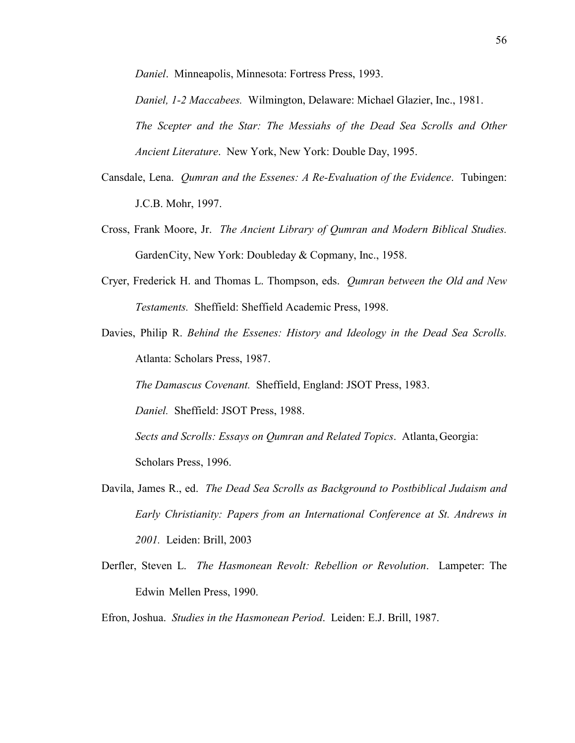*Daniel*. Minneapolis, Minnesota: Fortress Press, 1993.

*Daniel, 1-2 Maccabees.* Wilmington, Delaware: Michael Glazier, Inc., 1981. *The Scepter and the Star: The Messiahs of the Dead Sea Scrolls and Other Ancient Literature*. New York, New York: Double Day, 1995.

- Cansdale, Lena. *Qumran and the Essenes: A Re-Evaluation of the Evidence*. Tubingen: J.C.B. Mohr, 1997.
- Cross, Frank Moore, Jr. *The Ancient Library of Qumran and Modern Biblical Studies.* Garden City, New York: Doubleday & Copmany, Inc., 1958.
- Cryer, Frederick H. and Thomas L. Thompson, eds. *Qumran between the Old and New Testaments.* Sheffield: Sheffield Academic Press, 1998.
- Davies, Philip R. *Behind the Essenes: History and Ideology in the Dead Sea Scrolls.* Atlanta: Scholars Press, 1987.

*The Damascus Covenant.* Sheffield, England: JSOT Press, 1983.

*Daniel.* Sheffield: JSOT Press, 1988.

*Sects and Scrolls: Essays on Qumran and Related Topics*. Atlanta, Georgia: Scholars Press, 1996.

- Davila, James R., ed. *The Dead Sea Scrolls as Background to Postbiblical Judaism and Early Christianity: Papers from an International Conference at St. Andrews in 2001.* Leiden: Brill, 2003
- Derfler, Steven L. *The Hasmonean Revolt: Rebellion or Revolution*. Lampeter: The Edwin Mellen Press, 1990.
- Efron, Joshua. *Studies in the Hasmonean Period*. Leiden: E.J. Brill, 1987.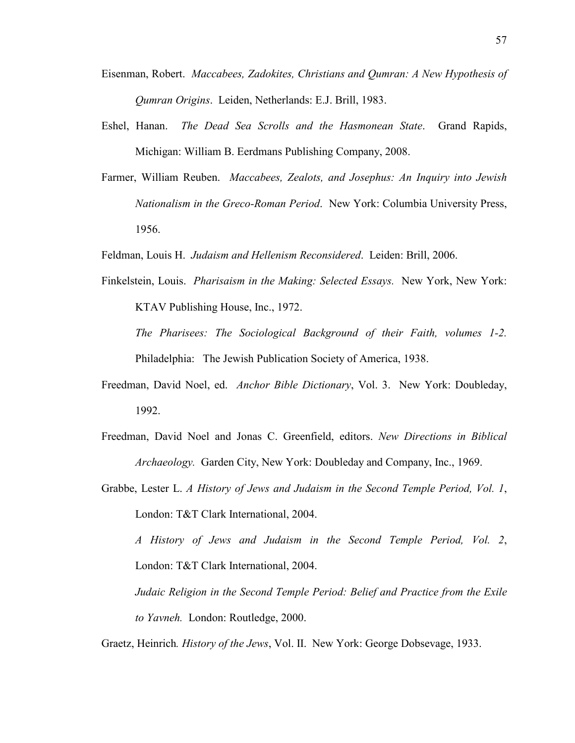- Eisenman, Robert. *Maccabees, Zadokites, Christians and Qumran: A New Hypothesis of Qumran Origins*. Leiden, Netherlands: E.J. Brill, 1983.
- Eshel, Hanan. *The Dead Sea Scrolls and the Hasmonean State*. Grand Rapids, Michigan: William B. Eerdmans Publishing Company, 2008.
- Farmer, William Reuben. *Maccabees, Zealots, and Josephus: An Inquiry into Jewish Nationalism in the Greco-Roman Period*. New York: Columbia University Press, 1956.
- Feldman, Louis H. *Judaism and Hellenism Reconsidered*. Leiden: Brill, 2006.
- Finkelstein, Louis. *Pharisaism in the Making: Selected Essays.* New York, New York: KTAV Publishing House, Inc., 1972. *The Pharisees: The Sociological Background of their Faith, volumes 1-2.*

Philadelphia: The Jewish Publication Society of America, 1938.

- Freedman, David Noel, ed. *Anchor Bible Dictionary*, Vol. 3. New York: Doubleday, 1992.
- Freedman, David Noel and Jonas C. Greenfield, editors. *New Directions in Biblical Archaeology.* Garden City, New York: Doubleday and Company, Inc., 1969.
- Grabbe, Lester L. *A History of Jews and Judaism in the Second Temple Period, Vol. 1*, London: T&T Clark International, 2004.

*A History of Jews and Judaism in the Second Temple Period, Vol. 2*, London: T&T Clark International, 2004.

*Judaic Religion in the Second Temple Period: Belief and Practice from the Exile to Yavneh.* London: Routledge, 2000.

Graetz, Heinrich*. History of the Jews*, Vol. II. New York: George Dobsevage, 1933.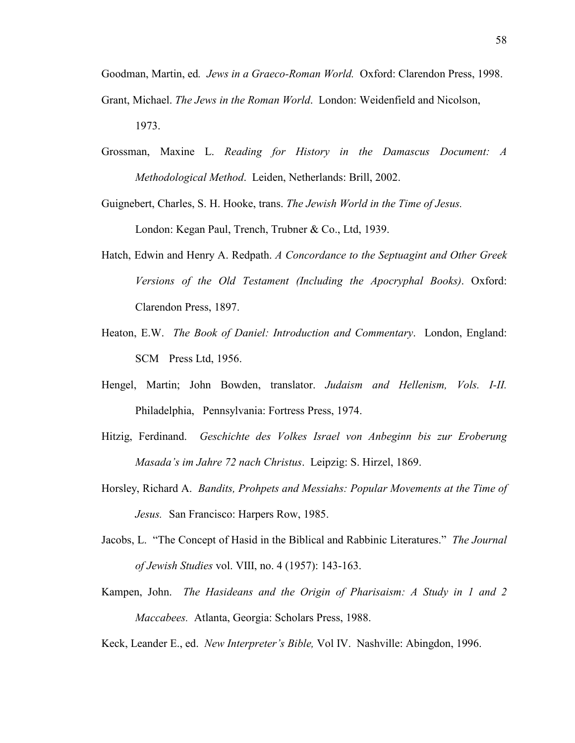Goodman, Martin, ed*. Jews in a Graeco-Roman World.* Oxford: Clarendon Press, 1998. Grant, Michael. *The Jews in the Roman World*. London: Weidenfield and Nicolson, 1973.

Grossman, Maxine L. *Reading for History in the Damascus Document: A Methodological Method*. Leiden, Netherlands: Brill, 2002.

Guignebert, Charles, S. H. Hooke, trans. *The Jewish World in the Time of Jesus.* London: Kegan Paul, Trench, Trubner & Co., Ltd, 1939.

- Hatch, Edwin and Henry A. Redpath. *A Concordance to the Septuagint and Other Greek Versions of the Old Testament (Including the Apocryphal Books)*. Oxford: Clarendon Press, 1897.
- Heaton, E.W. *The Book of Daniel: Introduction and Commentary*. London, England: SCM Press Ltd, 1956.
- Hengel, Martin; John Bowden, translator. *Judaism and Hellenism, Vols. I-II.* Philadelphia, Pennsylvania: Fortress Press, 1974.
- Hitzig, Ferdinand. *Geschichte des Volkes Israel von Anbeginn bis zur Eroberung Masada's im Jahre 72 nach Christus*. Leipzig: S. Hirzel, 1869.
- Horsley, Richard A. *Bandits, Prohpets and Messiahs: Popular Movements at the Time of Jesus.* San Francisco: Harpers Row, 1985.
- Jacobs, L. "The Concept of Hasid in the Biblical and Rabbinic Literatures." *The Journal of Jewish Studies* vol. VIII, no. 4 (1957): 143-163.
- Kampen, John. *The Hasideans and the Origin of Pharisaism: A Study in 1 and 2 Maccabees.* Atlanta, Georgia: Scholars Press, 1988.
- Keck, Leander E., ed. *New Interpreter's Bible,* Vol IV. Nashville: Abingdon, 1996.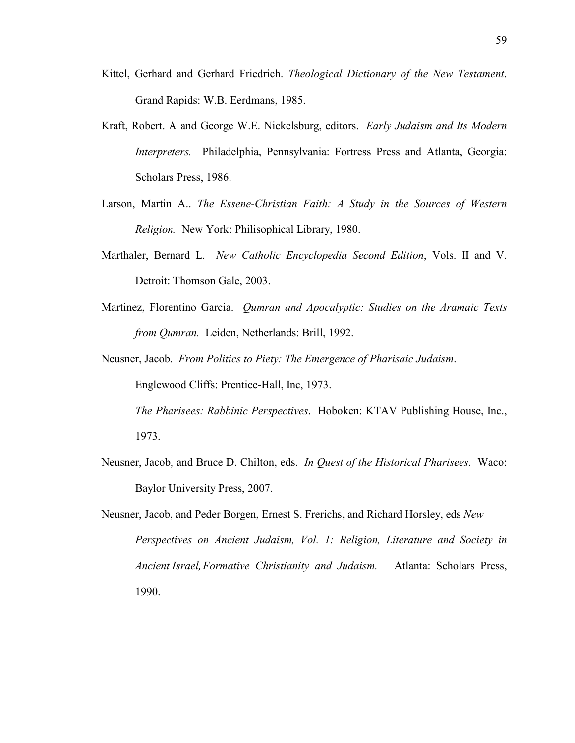- Kittel, Gerhard and Gerhard Friedrich. *Theological Dictionary of the New Testament*. Grand Rapids: W.B. Eerdmans, 1985.
- Kraft, Robert. A and George W.E. Nickelsburg, editors. *Early Judaism and Its Modern Interpreters.* Philadelphia, Pennsylvania: Fortress Press and Atlanta, Georgia: Scholars Press, 1986.
- Larson, Martin A.. *The Essene-Christian Faith: A Study in the Sources of Western Religion.* New York: Philisophical Library, 1980.
- Marthaler, Bernard L. *New Catholic Encyclopedia Second Edition*, Vols. II and V. Detroit: Thomson Gale, 2003.
- Martinez, Florentino Garcia. *Qumran and Apocalyptic: Studies on the Aramaic Texts from Qumran.* Leiden, Netherlands: Brill, 1992.
- Neusner, Jacob. *From Politics to Piety: The Emergence of Pharisaic Judaism*.

Englewood Cliffs: Prentice-Hall, Inc, 1973.

*The Pharisees: Rabbinic Perspectives*. Hoboken: KTAV Publishing House, Inc., 1973.

- Neusner, Jacob, and Bruce D. Chilton, eds. *In Quest of the Historical Pharisees*. Waco: Baylor University Press, 2007.
- Neusner, Jacob, and Peder Borgen, Ernest S. Frerichs, and Richard Horsley, eds *New Perspectives on Ancient Judaism, Vol. 1: Religion, Literature and Society in Ancient Israel, Formative Christianity and Judaism.* Atlanta: Scholars Press, 1990.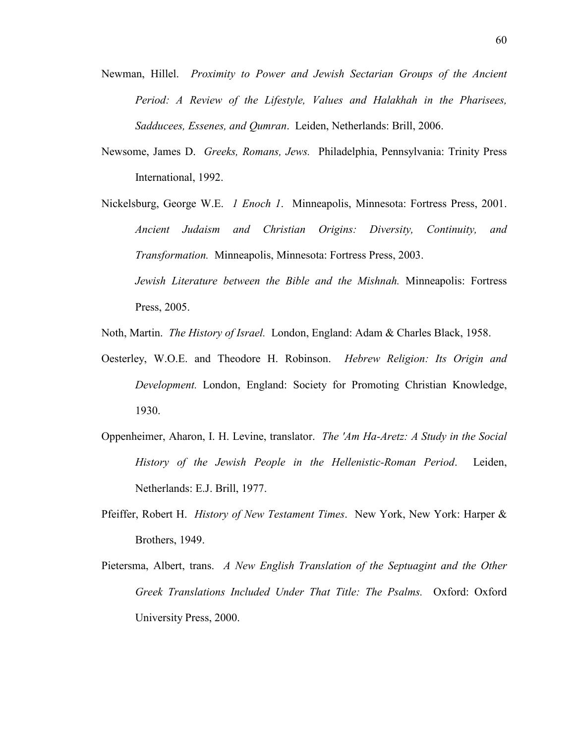- Newman, Hillel. *Proximity to Power and Jewish Sectarian Groups of the Ancient Period: A Review of the Lifestyle, Values and Halakhah in the Pharisees, Sadducees, Essenes, and Qumran*. Leiden, Netherlands: Brill, 2006.
- Newsome, James D. *Greeks, Romans, Jews.* Philadelphia, Pennsylvania: Trinity Press International, 1992.
- Nickelsburg, George W.E. *1 Enoch 1*. Minneapolis, Minnesota: Fortress Press, 2001. *Ancient Judaism and Christian Origins: Diversity, Continuity, and Transformation.* Minneapolis, Minnesota: Fortress Press, 2003. *Jewish Literature between the Bible and the Mishnah.* Minneapolis: Fortress Press, 2005.
- Noth, Martin. *The History of Israel.* London, England: Adam & Charles Black, 1958.
- Oesterley, W.O.E. and Theodore H. Robinson. *Hebrew Religion: Its Origin and Development.* London, England: Society for Promoting Christian Knowledge, 1930.
- Oppenheimer, Aharon, I. H. Levine, translator. *The 'Am Ha-Aretz: A Study in the Social History of the Jewish People in the Hellenistic-Roman Period*. Leiden, Netherlands: E.J. Brill, 1977.
- Pfeiffer, Robert H. *History of New Testament Times*. New York, New York: Harper & Brothers, 1949.
- Pietersma, Albert, trans. *A New English Translation of the Septuagint and the Other Greek Translations Included Under That Title: The Psalms.* Oxford: Oxford University Press, 2000.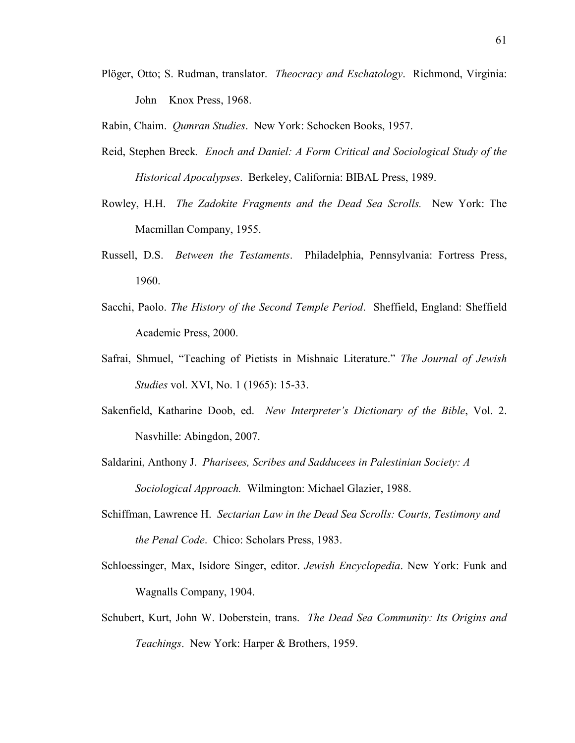Plöger, Otto; S. Rudman, translator. *Theocracy and Eschatology*. Richmond, Virginia: John Knox Press, 1968.

Rabin, Chaim. *Qumran Studies*. New York: Schocken Books, 1957.

- Reid, Stephen Breck*. Enoch and Daniel: A Form Critical and Sociological Study of the Historical Apocalypses*. Berkeley, California: BIBAL Press, 1989.
- Rowley, H.H. *The Zadokite Fragments and the Dead Sea Scrolls.* New York: The Macmillan Company, 1955.
- Russell, D.S. *Between the Testaments*. Philadelphia, Pennsylvania: Fortress Press, 1960.
- Sacchi, Paolo. *The History of the Second Temple Period*. Sheffield, England: Sheffield Academic Press, 2000.
- Safrai, Shmuel, "Teaching of Pietists in Mishnaic Literature." *The Journal of Jewish Studies* vol. XVI, No. 1 (1965): 15-33.
- Sakenfield, Katharine Doob, ed. *New Interpreter's Dictionary of the Bible*, Vol. 2. Nasvhille: Abingdon, 2007.
- Saldarini, Anthony J. *Pharisees, Scribes and Sadducees in Palestinian Society: A Sociological Approach.* Wilmington: Michael Glazier, 1988.
- Schiffman, Lawrence H. *Sectarian Law in the Dead Sea Scrolls: Courts, Testimony and the Penal Code*. Chico: Scholars Press, 1983.
- Schloessinger, Max, Isidore Singer, editor. *Jewish Encyclopedia*. New York: Funk and Wagnalls Company, 1904.
- Schubert, Kurt, John W. Doberstein, trans. *The Dead Sea Community: Its Origins and Teachings*. New York: Harper & Brothers, 1959.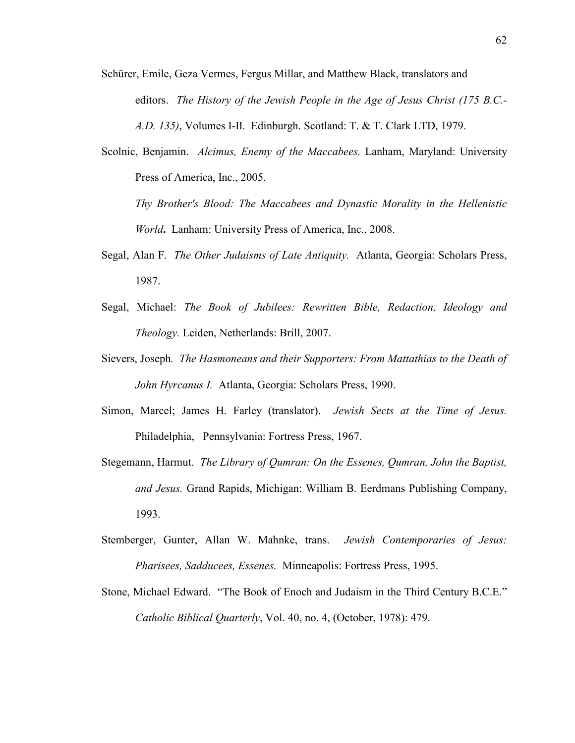- Schürer, Emile, Geza Vermes, Fergus Millar, and Matthew Black, translators and editors. *The History of the Jewish People in the Age of Jesus Christ (175 B.C.- A.D. 135)*, Volumes I-II. Edinburgh. Scotland: T. & T. Clark LTD, 1979.
- Scolnic, Benjamin. *Alcimus, Enemy of the Maccabees.* Lanham, Maryland: University Press of America, Inc., 2005.

*Thy Brother's Blood: The Maccabees and Dynastic Morality in the Hellenistic World***.** Lanham: University Press of America, Inc., 2008.

- Segal, Alan F. *The Other Judaisms of Late Antiquity.* Atlanta, Georgia: Scholars Press, 1987.
- Segal, Michael: *The Book of Jubilees: Rewritten Bible, Redaction, Ideology and Theology.* Leiden, Netherlands: Brill, 2007.
- Sievers, Joseph*. The Hasmoneans and their Supporters: From Mattathias to the Death of John Hyrcanus I.* Atlanta, Georgia: Scholars Press, 1990.
- Simon, Marcel; James H. Farley (translator). *Jewish Sects at the Time of Jesus.* Philadelphia, Pennsylvania: Fortress Press, 1967.
- Stegemann, Harmut. *The Library of Qumran: On the Essenes, Qumran, John the Baptist, and Jesus.* Grand Rapids, Michigan: William B. Eerdmans Publishing Company, 1993.
- Stemberger, Gunter, Allan W. Mahnke, trans. *Jewish Contemporaries of Jesus: Pharisees, Sadducees, Essenes.* Minneapolis: Fortress Press, 1995.
- Stone, Michael Edward. "The Book of Enoch and Judaism in the Third Century B.C.E." *Catholic Biblical Quarterly*, Vol. 40, no. 4, (October, 1978): 479.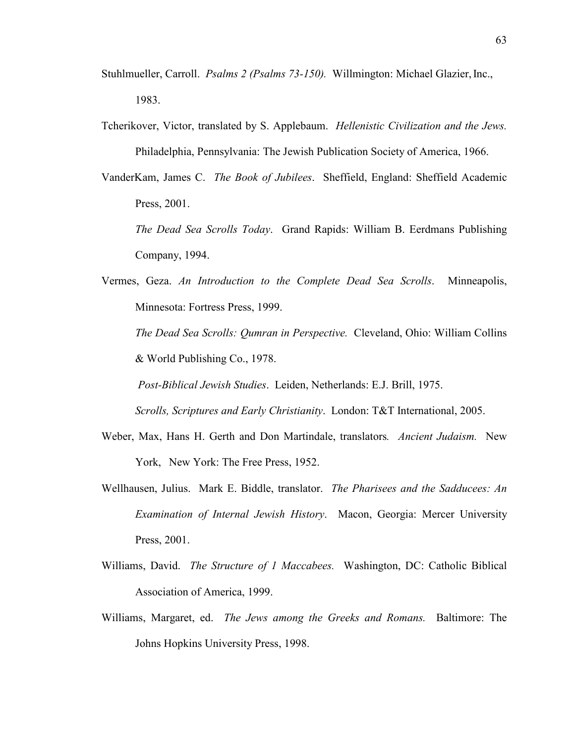- Stuhlmueller, Carroll. *Psalms 2 (Psalms 73-150).* Willmington: Michael Glazier, Inc., 1983.
- Tcherikover, Victor, translated by S. Applebaum. *Hellenistic Civilization and the Jews.* Philadelphia, Pennsylvania: The Jewish Publication Society of America, 1966.
- VanderKam, James C. *The Book of Jubilees*. Sheffield, England: Sheffield Academic Press, 2001.
	- *The Dead Sea Scrolls Today*. Grand Rapids: William B. Eerdmans Publishing Company, 1994.
- Vermes, Geza. *An Introduction to the Complete Dead Sea Scrolls*. Minneapolis, Minnesota: Fortress Press, 1999.

*The Dead Sea Scrolls: Qumran in Perspective.* Cleveland, Ohio: William Collins & World Publishing Co., 1978.

 *Post-Biblical Jewish Studies*. Leiden, Netherlands: E.J. Brill, 1975. *Scrolls, Scriptures and Early Christianity*. London: T&T International, 2005.

- Weber, Max, Hans H. Gerth and Don Martindale, translators*. Ancient Judaism.* New York, New York: The Free Press, 1952.
- Wellhausen, Julius. Mark E. Biddle, translator. *The Pharisees and the Sadducees: An Examination of Internal Jewish History*. Macon, Georgia: Mercer University Press, 2001.
- Williams, David. *The Structure of 1 Maccabees.* Washington, DC: Catholic Biblical Association of America, 1999.
- Williams, Margaret, ed. *The Jews among the Greeks and Romans.* Baltimore: The Johns Hopkins University Press, 1998.